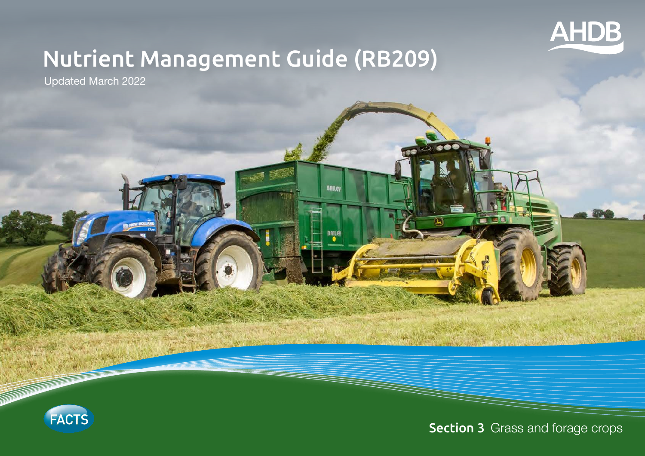

# Nutrient Management Guide (RB209)

**BBILEY** 

Updated March 2022



**Section 3** Grass and forage crops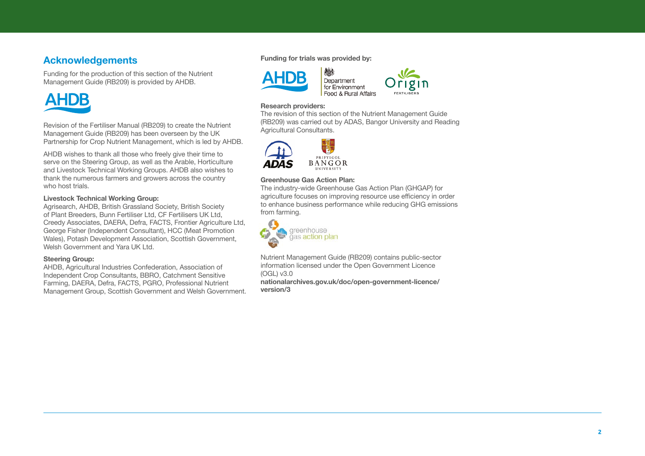### **Acknowledgements**

Funding for the production of this section of the Nutrient Management Guide (RB209) is provided by AHDB.



Revision of the Fertiliser Manual (RB209) to create the Nutrient Management Guide (RB209) has been overseen by the UK Partnership for Crop Nutrient Management, which is led by AHDB.

AHDB wishes to thank all those who freely give their time to serve on the Steering Group, as well as the Arable, Horticulture and Livestock Technical Working Groups. AHDB also wishes to thank the numerous farmers and growers across the country who host trials.

#### **Livestock Technical Working Group:**

Agrisearch, AHDB, British Grassland Society, British Society of Plant Breeders, Bunn Fertiliser Ltd, CF Fertilisers UK Ltd, Creedy Associates, DAERA, Defra, FACTS, Frontier Agriculture Ltd, George Fisher (Independent Consultant), HCC (Meat Promotion Wales), Potash Development Association, Scottish Government, Welsh Government and Yara UK Ltd.

#### **Steering Group:**

AHDB, Agricultural Industries Confederation, Association of Independent Crop Consultants, BBRO, Catchment Sensitive Farming, DAERA, Defra, FACTS, PGRO, Professional Nutrient Management Group, Scottish Government and Welsh Government.

#### **Funding for trials was provided by:**



#### **Research providers:**

The revision of this section of the Nutrient Management Guide (RB209) was carried out by ADAS, Bangor University and Reading Agricultural Consultants.



#### **Greenhouse Gas Action Plan:**

The industry-wide Greenhouse Gas Action Plan (GHGAP) for agriculture focuses on improving resource use efficiency in order to enhance business performance while reducing GHG emissions from farming.



Nutrient Management Guide (RB209) contains public-sector information licensed under the Open Government Licence (OGL) v3.0

**[nationalarchives.gov.uk/doc/open-government-licence/](http://nationalarchives.gov.uk/doc/open-government-licence/version/3) [version/3](http://nationalarchives.gov.uk/doc/open-government-licence/version/3)**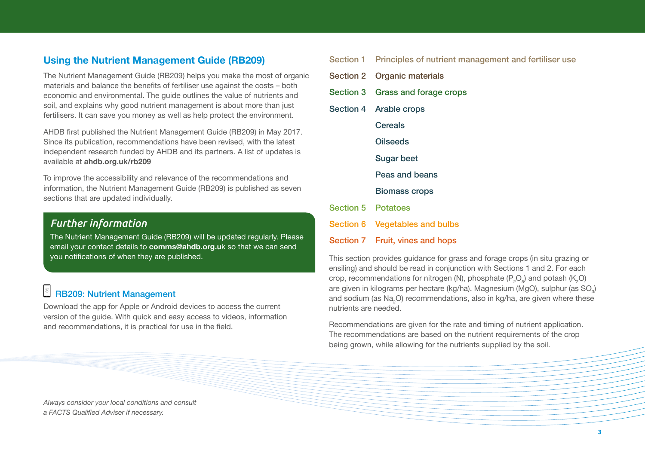### **Using the Nutrient Management Guide (RB209)**

The Nutrient Management Guide (RB209) helps you make the most of organic materials and balance the benefits of fertiliser use against the costs – both economic and environmental. The guide outlines the value of nutrients and soil, and explains why good nutrient management is about more than just fertilisers. It can save you money as well as help protect the environment.

AHDB first published the Nutrient Management Guide (RB209) in May 2017. Since its publication, recommendations have been revised, with the latest independent research funded by AHDB and its partners. A list of updates is available at **[ahdb.org.uk/rb209](http://ahdb.org.uk/rb209)**

To improve the accessibility and relevance of the recommendations and information, the Nutrient Management Guide (RB209) is published as seven sections that are updated individually.

### *Further information*

The Nutrient Management Guide (RB209) will be updated regularly. Please email your contact details to **comms@ahdb.org.u**k so that we can send you notifications of when they are published.

### $\circ$  RB209: Nutrient Management

Download the app for Apple or Android devices to access the current version of the guide. With quick and easy access to videos, information and recommendations, it is practical for use in the field.

|    |                           | Section 1 Principles of nutrient management and fertiliser use |
|----|---------------------------|----------------------------------------------------------------|
| ic |                           | Section 2 Organic materials                                    |
|    |                           | Section 3 Grass and forage crops                               |
|    |                           | Section 4 Arable crops                                         |
|    |                           | <b>Cereals</b>                                                 |
|    |                           | <b>Oilseeds</b>                                                |
|    |                           | <b>Sugar beet</b>                                              |
|    |                           | Peas and beans                                                 |
|    |                           | <b>Biomass crops</b>                                           |
|    | <b>Section 5 Potatoes</b> |                                                                |
|    |                           | Section 6 Vegetables and bulbs                                 |
|    |                           |                                                                |

Section 7 Fruit, vines and hops

This section provides guidance for grass and forage crops (in situ grazing or ensiling) and should be read in conjunction with Sections 1 and 2. For each crop, recommendations for nitrogen (N), phosphate ( $\mathsf{P}_2\mathsf{O}_5$ ) and potash (K<sub>2</sub>O) are given in kilograms per hectare (kg/ha). Magnesium (MgO), sulphur (as  $\mathrm{SO}_3\text{)}$ and sodium (as Na<sub>2</sub>O) recommendations, also in kg/ha, are given where these nutrients are needed.

Recommendations are given for the rate and timing of nutrient application. The recommendations are based on the nutrient requirements of the crop being grown, while allowing for the nutrients supplied by the soil.

*Always consider your local conditions and consult a FACTS Qualified Adviser if necessary.*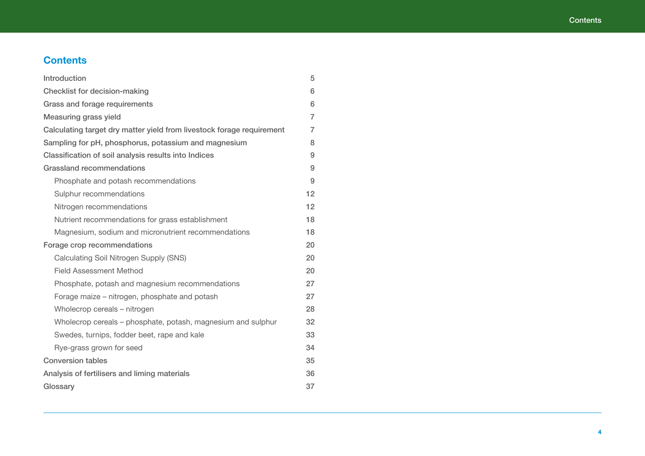### <span id="page-3-0"></span>**Contents**

| Introduction                                                          | 5              |
|-----------------------------------------------------------------------|----------------|
| <b>Checklist for decision-making</b>                                  | 6              |
| Grass and forage requirements                                         | 6              |
| Measuring grass yield                                                 | $\overline{7}$ |
| Calculating target dry matter yield from livestock forage requirement | $\overline{7}$ |
| Sampling for pH, phosphorus, potassium and magnesium                  | 8              |
| Classification of soil analysis results into Indices                  | 9              |
| <b>Grassland recommendations</b>                                      | 9              |
| Phosphate and potash recommendations                                  | 9              |
| Sulphur recommendations                                               | 12             |
| Nitrogen recommendations                                              | 12             |
| Nutrient recommendations for grass establishment                      | 18             |
| Magnesium, sodium and micronutrient recommendations                   | 18             |
| Forage crop recommendations                                           | 20             |
| Calculating Soil Nitrogen Supply (SNS)                                | 20             |
| <b>Field Assessment Method</b>                                        | 20             |
| Phosphate, potash and magnesium recommendations                       | 27             |
| Forage maize - nitrogen, phosphate and potash                         | 27             |
| Wholecrop cereals - nitrogen                                          | 28             |
| Wholecrop cereals - phosphate, potash, magnesium and sulphur          | 32             |
| Swedes, turnips, fodder beet, rape and kale                           | 33             |
| Rye-grass grown for seed                                              | 34             |
| <b>Conversion tables</b>                                              | 35             |
| Analysis of fertilisers and liming materials                          | 36             |
| Glossary                                                              | 37             |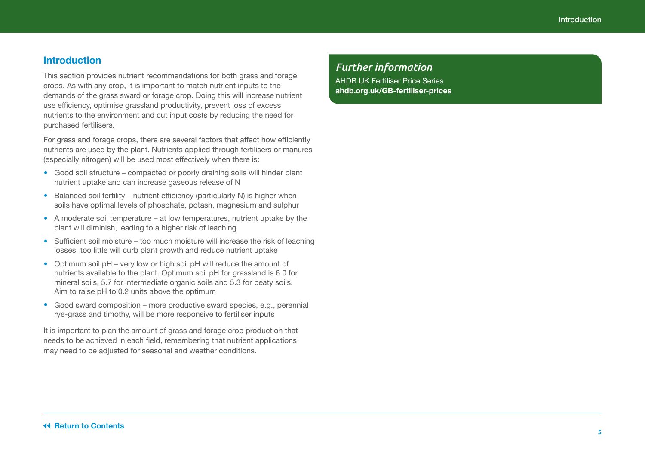### <span id="page-4-0"></span>**Introduction**

This section provides nutrient recommendations for both grass and forage crops. As with any crop, it is important to match nutrient inputs to the demands of the grass sward or forage crop. Doing this will increase nutrient use efficiency, optimise grassland productivity, prevent loss of excess nutrients to the environment and cut input costs by reducing the need for purchased fertilisers.

For grass and forage crops, there are several factors that affect how efficiently nutrients are used by the plant. Nutrients applied through fertilisers or manures (especially nitrogen) will be used most effectively when there is:

- **•**  Good soil structure compacted or poorly draining soils will hinder plant nutrient uptake and can increase gaseous release of N
- Balanced soil fertility nutrient efficiency (particularly N) is higher when soils have optimal levels of phosphate, potash, magnesium and sulphur
- **•**  A moderate soil temperature at low temperatures, nutrient uptake by the plant will diminish, leading to a higher risk of leaching
- Sufficient soil moisture too much moisture will increase the risk of leaching losses, too little will curb plant growth and reduce nutrient uptake
- Optimum soil pH very low or high soil pH will reduce the amount of nutrients available to the plant. Optimum soil pH for grassland is 6.0 for mineral soils, 5.7 for intermediate organic soils and 5.3 for peaty soils. Aim to raise pH to 0.2 units above the optimum
- **•**  Good sward composition more productive sward species, e.g., perennial rye-grass and timothy, will be more responsive to fertiliser inputs

It is important to plan the amount of grass and forage crop production that needs to be achieved in each field, remembering that nutrient applications may need to be adjusted for seasonal and weather conditions.

### *Further information*

AHDB UK Fertiliser Price Series **[ahdb.org.uk/GB-fertiliser-prices](http://ahdb.org.uk/GB-fertiliser-prices)**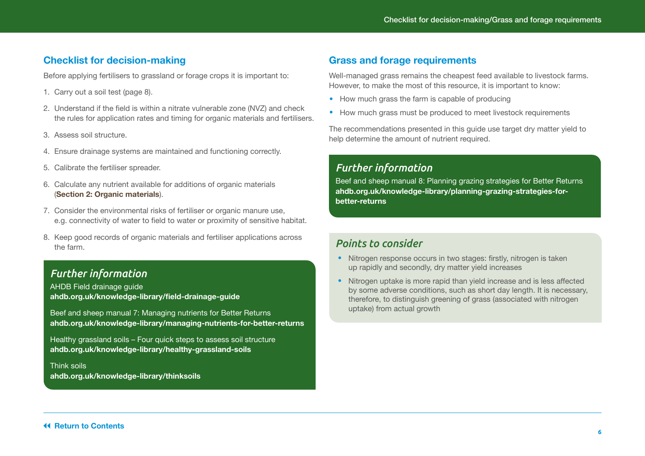### <span id="page-5-0"></span>**Checklist for decision-making**

Before applying fertilisers to grassland or forage crops it is important to:

- 1. Carry out a soil test (page 8).
- 2. Understand if the field is within a nitrate vulnerable zone (NVZ) and check the rules for application rates and timing for organic materials and fertilisers.
- 3. Assess soil structure.
- 4. Ensure drainage systems are maintained and functioning correctly.
- 5. Calibrate the fertiliser spreader.
- 6. Calculate any nutrient available for additions of organic materials (**Section 2: Organic materials**).
- 7. Consider the environmental risks of fertiliser or organic manure use, e.g. connectivity of water to field to water or proximity of sensitive habitat.
- 8. Keep good records of organic materials and fertiliser applications across the farm.

### *Further information*

AHDB Field drainage guide **[ahdb.org.uk/knowledge-library/field-drainage-guide](http://ahdb.org.uk/knowledge-library/field-drainage-guide)**

Beef and sheep manual 7: Managing nutrients for Better Returns **[ahdb.org.uk/knowledge-library/managing-nutrients-for-better-returns](http://ahdb.org.uk/knowledge-library/managing-nutrients-for-better-returns)**

Healthy grassland soils – Four quick steps to assess soil structure **[ahdb.org.uk/knowledge-library/healthy-grassland-soils](http://ahdb.org.uk/knowledge-library/healthy-grassland-soils)**

Think soils **[ahdb.org.uk/knowledge-library/thinksoils](http://ahdb.org.uk/knowledge-library/thinksoils)**

### **Grass and forage requirements**

Well-managed grass remains the cheapest feed available to livestock farms. However, to make the most of this resource, it is important to know:

- How much grass the farm is capable of producing
- How much grass must be produced to meet livestock requirements

The recommendations presented in this guide use target dry matter yield to help determine the amount of nutrient required.

### *Further information*

Beef and sheep manual 8: Planning grazing strategies for Better Returns **[ahdb.org.uk/knowledge-library/planning-grazing-strategies-for](https://ahdb.org.uk/knowledge-library/planning-grazing-strategies-for-better-returns)[better-returns](https://ahdb.org.uk/knowledge-library/planning-grazing-strategies-for-better-returns)** 

### *Points to consider*

- Nitrogen response occurs in two stages: firstly, nitrogen is taken up rapidly and secondly, dry matter yield increases
- **•**  Nitrogen uptake is more rapid than yield increase and is less affected by some adverse conditions, such as short day length. It is necessary, therefore, to distinguish greening of grass (associated with nitrogen uptake) from actual growth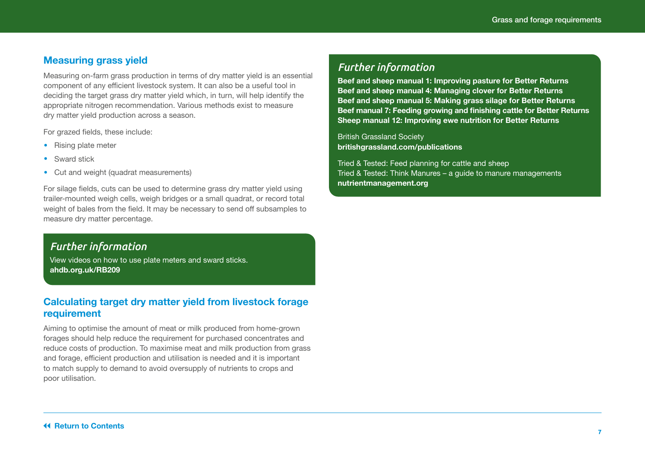### <span id="page-6-0"></span>**Measuring grass yield**

Measuring on-farm grass production in terms of dry matter yield is an essential component of any efficient livestock system. It can also be a useful tool in deciding the target grass dry matter yield which, in turn, will help identify the appropriate nitrogen recommendation. Various methods exist to measure dry matter yield production across a season.

For grazed fields, these include:

- **•**  Rising plate meter
- **•**  Sward stick
- **•**  Cut and weight (quadrat measurements)

For silage fields, cuts can be used to determine grass dry matter yield using trailer-mounted weigh cells, weigh bridges or a small quadrat, or record total weight of bales from the field. It may be necessary to send off subsamples to measure dry matter percentage.

### *Further information*

View videos on how to use plate meters and sward sticks. **[ahdb.org.uk/RB209](http://ahdb.org.uk/RB209)**

### **Calculating target dry matter yield from livestock forage requirement**

Aiming to optimise the amount of meat or milk produced from home-grown forages should help reduce the requirement for purchased concentrates and reduce costs of production. To maximise meat and milk production from grass and forage, efficient production and utilisation is needed and it is important to match supply to demand to avoid oversupply of nutrients to crops and poor utilisation.

### *Further information*

**[Beef and sheep manual 1: Improving pasture for Better Returns](https://projectblue.blob.core.windows.net/media/Default/Imported%20Publication%20Docs/Improving%20pasture%20for%20better%20returns.pdf)  [Beef and sheep manual 4: Managing clover for Better Returns](https://projectblue.blob.core.windows.net/media/Default/Imported%20Publication%20Docs/Managing%20clover%20for%20better%20returns.pdf)  [Beef and sheep manual 5: Making grass silage for Better Returns](https://projectblue.blob.core.windows.net/media/Default/Beef%20&%20Lamb/MakingGrassBR_191002_WEB-1.pdf)  Beef manual 7: Feeding growing and finishing cattle for Better Returns [Sheep manual 12: Improving ewe nutrition for Better Returns](https://projectblue.blob.core.windows.net/media/Default/Beef%20&%20Lamb/ImprovingEweNutrition2869_191129_WEB.pdf)**

British Grassland Society **[britishgrassland.com/publications](https://www.britishgrassland.com/publications)** 

Tried & Tested: Feed planning for cattle and sheep Tried & Tested: Think Manures – a guide to manure managements **[nutrientmanagement.org](http://www.nutrientmanagement.org)**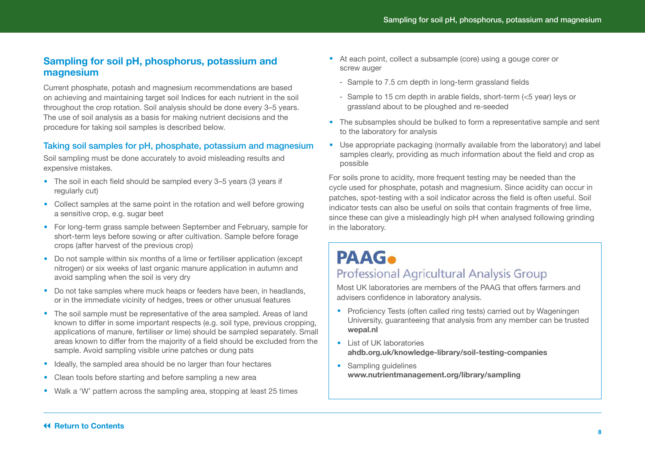### <span id="page-7-0"></span>**Sampling for soil pH, phosphorus, potassium and magnesium**

Current phosphate, potash and magnesium recommendations are based on achieving and maintaining target soil Indices for each nutrient in the soil throughout the crop rotation. Soil analysis should be done every 3–5 years. The use of soil analysis as a basis for making nutrient decisions and the procedure for taking soil samples is described below.

### Taking soil samples for pH, phosphate, potassium and magnesium

Soil sampling must be done accurately to avoid misleading results and expensive mistakes.

- The soil in each field should be sampled every 3-5 years (3 years if regularly cut)
- Collect samples at the same point in the rotation and well before growing a sensitive crop, e.g. sugar beet
- **•**  For long-term grass sample between September and February, sample for short-term leys before sowing or after cultivation. Sample before forage crops (after harvest of the previous crop)
- Do not sample within six months of a lime or fertiliser application (except nitrogen) or six weeks of last organic manure application in autumn and avoid sampling when the soil is very dry
- Do not take samples where muck heaps or feeders have been, in headlands, or in the immediate vicinity of hedges, trees or other unusual features
- The soil sample must be representative of the area sampled. Areas of land known to differ in some important respects (e.g. soil type, previous cropping, applications of manure, fertiliser or lime) should be sampled separately. Small areas known to differ from the majority of a field should be excluded from the sample. Avoid sampling visible urine patches or dung pats
- Ideally, the sampled area should be no larger than four hectares
- **•**  Clean tools before starting and before sampling a new area
- Walk a 'W' pattern across the sampling area, stopping at least 25 times
- At each point, collect a subsample (core) using a gouge corer or screw auger
	- Sample to 7.5 cm depth in long-term grassland fields
	- Sample to 15 cm depth in arable fields, short-term (<5 year) leys or grassland about to be ploughed and re-seeded
- The subsamples should be bulked to form a representative sample and sent to the laboratory for analysis
- Use appropriate packaging (normally available from the laboratory) and label samples clearly, providing as much information about the field and crop as possible

For soils prone to acidity, more frequent testing may be needed than the cycle used for phosphate, potash and magnesium. Since acidity can occur in patches, spot-testing with a soil indicator across the field is often useful. Soil indicator tests can also be useful on soils that contain fragments of free lime, since these can give a misleadingly high pH when analysed following grinding in the laboratory.

## **PAAG**. Professional Agricultural Analysis Group

Most UK laboratories are members of the PAAG that offers farmers and advisers confidence in laboratory analysis.

- Proficiency Tests (often called ring tests) carried out by Wageningen University, guaranteeing that analysis from any member can be trusted **[wepal.nl](http://wepal.nl)**
- **•**  List of UK laboratories **[ahdb.org.uk/knowledge-library/soil-testing-companies](http://ahdb.org.uk/knowledge-library/soil-testing-companies)**
- **•**  Sampling guidelines **www.nutrientmanagement.org/library/sampling**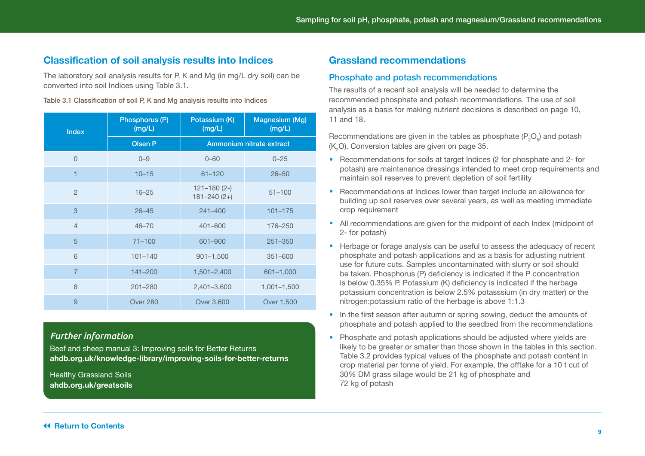### <span id="page-8-0"></span>**Classification of soil analysis results into Indices**

The laboratory soil analysis results for P, K and Mg (in mg/L dry soil) can be converted into soil Indices using Table 3.1.

#### Table 3.1 Classification of soil P, K and Mg analysis results into Indices

| <b>Index</b>   | Phosphorus (P)<br>(mg/L) | Potassium (K)<br>(mg/L)            | Magnesium (Mg)<br>(mg/L) |  |  |
|----------------|--------------------------|------------------------------------|--------------------------|--|--|
|                | <b>Olsen P</b>           | <b>Ammonium nitrate extract</b>    |                          |  |  |
| $\Omega$       | $0 - 9$                  | $0 - 60$                           | $0 - 25$                 |  |  |
| 1              | $10 - 15$                | $61 - 120$                         | $26 - 50$                |  |  |
| $\overline{2}$ | $16 - 25$                | $121 - 180(2-)$<br>$181 - 240(2+)$ | $51 - 100$               |  |  |
| 3              | $26 - 45$                | $241 - 400$                        | $101 - 175$              |  |  |
| $\overline{4}$ | $46 - 70$                | $401 - 600$                        | 176-250                  |  |  |
| 5              | $71 - 100$               | 601-900                            | $251 - 350$              |  |  |
| 6              | $101 - 140$              | $901 - 1,500$                      | $351 - 600$              |  |  |
| $\overline{7}$ | $141 - 200$              | $1,501 - 2,400$                    | 601-1,000                |  |  |
| 8              | $201 - 280$              | 2,401-3,600                        | $1,001 - 1,500$          |  |  |
| 9              | Over 280                 | Over 3,600                         | Over 1,500               |  |  |

### *Further information*

Beef and sheep manual 3: Improving soils for Better Returns **[ahdb.org.uk/knowledge-library/improving-soils-for-better-returns](http://ahdb.org.uk/knowledge-library/improving-soils-for-better-returns)** 

Healthy Grassland Soils **[ahdb.org.uk/greatsoils](http://ahdb.org.uk/greatsoils)**

### **Grassland recommendations**

#### Phosphate and potash recommendations

The results of a recent soil analysis will be needed to determine the recommended phosphate and potash recommendations. The use of soil analysis as a basis for making nutrient decisions is described on page 10, 11 and 18.

Recommendations are given in the tables as phosphate (P $_{2}$ O $_{5}$ ) and potash ( $K_2$ O). Conversion tables are given on page 35.

- **•**  Recommendations for soils at target Indices (2 for phosphate and 2- for potash) are maintenance dressings intended to meet crop requirements and maintain soil reserves to prevent depletion of soil fertility
- **•**  Recommendations at Indices lower than target include an allowance for building up soil reserves over several years, as well as meeting immediate crop requirement
- **•**  All recommendations are given for the midpoint of each Index (midpoint of 2- for potash)
- **•**  Herbage or forage analysis can be useful to assess the adequacy of recent phosphate and potash applications and as a basis for adjusting nutrient use for future cuts. Samples uncontaminated with slurry or soil should be taken. Phosphorus (P) deficiency is indicated if the P concentration is below 0.35% P. Potassium (K) deficiency is indicated if the herbage potassium concentration is below 2.5% potasssium (in dry matter) or the nitrogen:potassium ratio of the herbage is above 1:1.3
- In the first season after autumn or spring sowing, deduct the amounts of phosphate and potash applied to the seedbed from the recommendations
- Phosphate and potash applications should be adjusted where yields are likely to be greater or smaller than those shown in the tables in this section. Table 3.2 provides typical values of the phosphate and potash content in crop material per tonne of yield. For example, the offtake for a 10 t cut of 30% DM grass silage would be 21 kg of phosphate and 72 kg of potash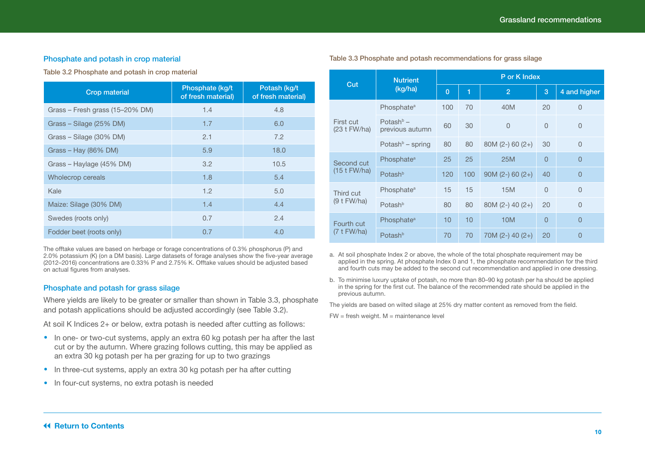#### Phosphate and potash in crop material

Table 3.2 Phosphate and potash in crop material

| <b>Crop material</b>            | Phosphate (kg/t)<br>of fresh material) | Potash (kg/t<br>of fresh material) |
|---------------------------------|----------------------------------------|------------------------------------|
| Grass - Fresh grass (15-20% DM) | 1.4                                    | 4.8                                |
| Grass – Silage (25% DM)         | 1.7                                    | 6.0                                |
| Grass - Silage (30% DM)         | 2.1                                    | 7.2                                |
| Grass - Hay (86% DM)            | 5.9                                    | 18.0                               |
| Grass - Haylage (45% DM)        | 3.2                                    | 10.5                               |
| Wholecrop cereals               | 1.8                                    | 5.4                                |
| Kale                            | 1.2                                    | 5.0                                |
| Maize: Silage (30% DM)          | 1.4                                    | 4.4                                |
| Swedes (roots only)             | 0.7                                    | 2.4                                |
| Fodder beet (roots only)        | 0.7                                    | 4.0                                |

The offtake values are based on herbage or forage concentrations of 0.3% phosphorus (P) and 2.0% potassium (K) (on a DM basis). Large datasets of forage analyses show the five-year average (2012–2016) concentrations are 0.33% P and 2.75% K. Offtake values should be adjusted based on actual figures from analyses.

#### Phosphate and potash for grass silage

Where yields are likely to be greater or smaller than shown in Table 3.3, phosphate and potash applications should be adjusted accordingly (see Table 3.2).

At soil K Indices 2+ or below, extra potash is needed after cutting as follows:

- In one- or two-cut systems, apply an extra 60 kg potash per ha after the last cut or by the autumn. Where grazing follows cutting, this may be applied as an extra 30 kg potash per ha per grazing for up to two grazings
- In three-cut systems, apply an extra 30 kg potash per ha after cutting
- In four-cut systems, no extra potash is needed

| Cut                         | <b>Nutrient</b>                 | P or K Index   |     |                    |                |                |  |  |
|-----------------------------|---------------------------------|----------------|-----|--------------------|----------------|----------------|--|--|
|                             | (kg/ha)                         | $\overline{0}$ | 1   | $\overline{2}$     | 3              | 4 and higher   |  |  |
|                             | Phosphate <sup>a</sup>          | 100            | 70  | 40M                | 20             | $\Omega$       |  |  |
| First cut<br>$(23 t$ FW/ha) | Potash $b -$<br>previous autumn | 60             | 30  | $\overline{0}$     | $\overline{0}$ | $\overline{0}$ |  |  |
|                             | Potash $\flat$ – spring         | 80             | 80  | $80M$ (2-) 60 (2+) | 30             | $\Omega$       |  |  |
| Second cut                  | Phosphate <sup>a</sup>          | 25             | 25  | 25M                | $\overline{0}$ | $\overline{0}$ |  |  |
| $(15 t$ FW/ha)              | Potash <sup>b</sup>             | 120            | 100 | $90M (2-) 60 (2+)$ | 40             | $\overline{0}$ |  |  |
| Third cut                   | Phosphate <sup>a</sup>          | 15             | 15  | 15M                | $\Omega$       | $\Omega$       |  |  |
| $(9 t$ FW/ha)               | Potash <sup>b</sup>             | 80             | 80  | 80M (2-) 40 (2+)   | 20             | $\Omega$       |  |  |
| Fourth cut                  | Phosphate <sup>a</sup>          | 10             | 10  | 10M                | $\overline{0}$ | $\overline{0}$ |  |  |
| $(7 t$ FW/ha)               | Potash <sup>b</sup>             | 70             | 70  | $70M (2-) 40 (2+)$ | 20             | $\overline{0}$ |  |  |

Table 3.3 Phosphate and potash recommendations for grass silage

a. At soil phosphate Index 2 or above, the whole of the total phosphate requirement may be applied in the spring. At phosphate Index 0 and 1, the phosphate recommendation for the third and fourth cuts may be added to the second cut recommendation and applied in one dressing.

b. To minimise luxury uptake of potash, no more than 80–90 kg potash per ha should be applied in the spring for the first cut. The balance of the recommended rate should be applied in the previous autumn.

The yields are based on wilted silage at 25% dry matter content as removed from the field.

 $FW =$  fresh weight.  $M =$  maintenance level

#### **14 [Return to Contents](#page-3-0)**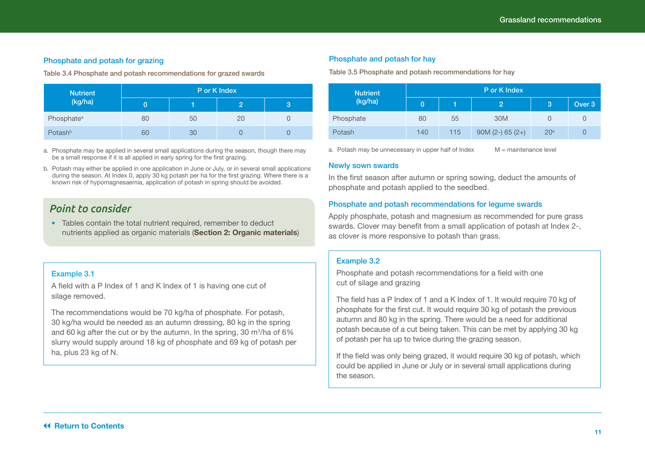#### Phosphate and potash for grazing

Table 3.4 Phosphate and potash recommendations for grazed swards

| <b>Nutrient</b>        | P or K Index |    |    |   |  |  |  |  |
|------------------------|--------------|----|----|---|--|--|--|--|
| (kg/ha)                | U            |    | 2  | З |  |  |  |  |
| Phosphate <sup>a</sup> | 80           | 50 | 20 |   |  |  |  |  |
| Potash <sup>b</sup>    | 60           | 30 |    |   |  |  |  |  |

a. Phosphate may be applied in several small applications during the season, though there may be a small response if it is all applied in early spring for the first grazing.

b. Potash may either be applied in one application in June or July, or in several small applications during the season. At Index 0, apply 30 kg potash per ha for the first grazing. Where there is a known risk of hypomagnesaemia, application of potash in spring should be avoided.

### *Point to consider*

• Tables contain the total nutrient required, remember to deduct nutrients applied as organic materials (**Section 2: Organic materials**)

#### Example 3.1

A field with a P Index of 1 and K Index of 1 is having one cut of silage removed.

The recommendations would be 70 kg/ha of phosphate. For potash, 30 kg/ha would be needed as an autumn dressing, 80 kg in the spring and 60 kg after the cut or by the autumn. In the spring, 30  $\mathrm{m}^3\mathrm{/ha}$  of 6%  $^2$ slurry would supply around 18 kg of phosphate and 69 kg of potash per ha, plus 23 kg of N.

#### Phosphate and potash for hay

Table 3.5 Phosphate and potash recommendations for hay

| <b>Nutrient</b> | P or K Index |     |                    |                 |        |  |  |  |
|-----------------|--------------|-----|--------------------|-----------------|--------|--|--|--|
| (kg/ha)         | 0            |     |                    | 3               | Over 3 |  |  |  |
| Phosphate       | 80           | 55  | 30M                |                 | U      |  |  |  |
| Potash          | 140          | 115 | $90M (2-) 65 (2+)$ | 20 <sup>a</sup> | O      |  |  |  |

a. Potash may be unnecessary in upper half of  $Index$   $M =$  maintenance level

#### Newly sown swards

In the first season after autumn or spring sowing, deduct the amounts of phosphate and potash applied to the seedbed.

#### Phosphate and potash recommendations for legume swards

Apply phosphate, potash and magnesium as recommended for pure grass swards. Clover may benefit from a small application of potash at Index 2-, as clover is more responsive to potash than grass.

#### Example 3.2

Phosphate and potash recommendations for a field with one cut of silage and grazing

The field has a P Index of 1 and a K Index of 1. It would require 70 kg of phosphate for the first cut. It would require 30 kg of potash the previous autumn and 80 kg in the spring. There would be a need for additional potash because of a cut being taken. This can be met by applying 30 kg of potash per ha up to twice during the grazing season.

If the field was only being grazed, it would require 30 kg of potash, which could be applied in June or July or in several small applications during the season.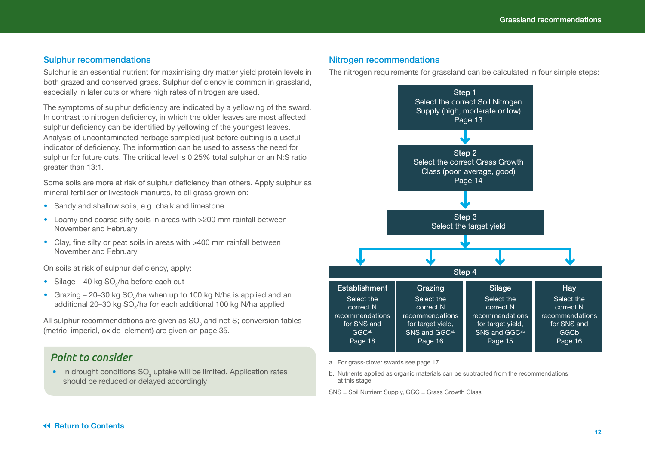#### <span id="page-11-0"></span>Sulphur recommendations

Sulphur is an essential nutrient for maximising dry matter yield protein levels in both grazed and conserved grass. Sulphur deficiency is common in grassland, especially in later cuts or where high rates of nitrogen are used.

The symptoms of sulphur deficiency are indicated by a yellowing of the sward. In contrast to nitrogen deficiency, in which the older leaves are most affected, sulphur deficiency can be identified by yellowing of the youngest leaves. Analysis of uncontaminated herbage sampled just before cutting is a useful indicator of deficiency. The information can be used to assess the need for sulphur for future cuts. The critical level is 0.25% total sulphur or an N:S ratio greater than 13:1.

Some soils are more at risk of sulphur deficiency than others. Apply sulphur as mineral fertiliser or livestock manures, to all grass grown on:

- **•**  Sandy and shallow soils, e.g. chalk and limestone
- **•**  Loamy and coarse silty soils in areas with >200 mm rainfall between November and February
- **•**  Clay, fine silty or peat soils in areas with >400 mm rainfall between November and February

On soils at risk of sulphur deficiency, apply:

- Silage 40 kg SO<sub>3</sub>/ha before each cut
- Grazing  $-20-30$  kg SO<sub>3</sub>/ha when up to 100 kg N/ha is applied and an additional 20–30 kg SO $_{\rm 3}$ /ha for each additional 100 kg N/ha applied

All sulphur recommendations are given as SO $_{\tiny 3}$  and not S; conversion tables (metric–imperial, oxide–element) are given on page 35.

### *Point to consider*

• In drought conditions SO<sub>3</sub> uptake will be limited. Application rates should be reduced or delayed accordingly

#### Nitrogen recommendations

The nitrogen requirements for grassland can be calculated in four simple steps:



a. For grass-clover swards see page 17.

b. Nutrients applied as organic materials can be subtracted from the recommendations at this stage.

SNS = Soil Nutrient Supply, GGC = Grass Growth Class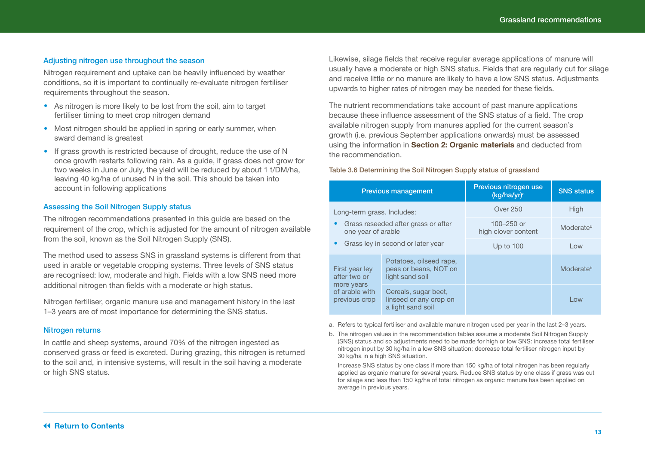#### Adjusting nitrogen use throughout the season

Nitrogen requirement and uptake can be heavily influenced by weather conditions, so it is important to continually re-evaluate nitrogen fertiliser requirements throughout the season.

- As nitrogen is more likely to be lost from the soil, aim to target fertiliser timing to meet crop nitrogen demand
- Most nitrogen should be applied in spring or early summer, when sward demand is greatest
- If grass growth is restricted because of drought, reduce the use of N once growth restarts following rain. As a guide, if grass does not grow for two weeks in June or July, the yield will be reduced by about 1 t/DM/ha, leaving 40 kg/ha of unused N in the soil. This should be taken into account in following applications

#### Assessing the Soil Nitrogen Supply status

The nitrogen recommendations presented in this guide are based on the requirement of the crop, which is adjusted for the amount of nitrogen available from the soil, known as the Soil Nitrogen Supply (SNS).

The method used to assess SNS in grassland systems is different from that used in arable or vegetable cropping systems. Three levels of SNS status are recognised: low, moderate and high. Fields with a low SNS need more additional nitrogen than fields with a moderate or high status.

Nitrogen fertiliser, organic manure use and management history in the last 1–3 years are of most importance for determining the SNS status.

#### Nitrogen returns

In cattle and sheep systems, around 70% of the nitrogen ingested as conserved grass or feed is excreted. During grazing, this nitrogen is returned to the soil and, in intensive systems, will result in the soil having a moderate or high SNS status.

Likewise, silage fields that receive regular average applications of manure will usually have a moderate or high SNS status. Fields that are regularly cut for silage and receive little or no manure are likely to have a low SNS status. Adjustments upwards to higher rates of nitrogen may be needed for these fields.

The nutrient recommendations take account of past manure applications because these influence assessment of the SNS status of a field. The crop available nitrogen supply from manures applied for the current season's growth (i.e. previous September applications onwards) must be assessed using the information in **Section 2: Organic materials** and deducted from the recommendation.

#### Table 3.6 Determining the Soil Nitrogen Supply status of grassland

|                                                                                                       | <b>Previous management</b>                                          | Previous nitrogen use<br>(kg/ha/yr) <sup>a</sup> | <b>SNS status</b> |
|-------------------------------------------------------------------------------------------------------|---------------------------------------------------------------------|--------------------------------------------------|-------------------|
| Long-term grass. Includes:                                                                            |                                                                     | Over 250                                         | High              |
| one year of arable                                                                                    | Grass reseeded after grass or after                                 | 100-250 or<br>high clover content                | Moderateb         |
| Grass ley in second or later year                                                                     |                                                                     | Up to $100$                                      | Low               |
| Potatoes, oilseed rape,<br>peas or beans, NOT on<br>First year ley<br>after two or<br>light sand soil |                                                                     |                                                  | Moderateb         |
| more years<br>of arable with<br>previous crop                                                         | Cereals, sugar beet,<br>linseed or any crop on<br>a light sand soil |                                                  | l ow              |

a. Refers to typical fertiliser and available manure nitrogen used per year in the last 2–3 years.

b. The nitrogen values in the recommendation tables assume a moderate Soil Nitrogen Supply (SNS) status and so adjustments need to be made for high or low SNS: increase total fertiliser nitrogen input by 30 kg/ha in a low SNS situation; decrease total fertiliser nitrogen input by 30 kg/ha in a high SNS situation.

Increase SNS status by one class if more than 150 kg/ha of total nitrogen has been regularly applied as organic manure for several years. Reduce SNS status by one class if grass was cut for silage and less than 150 kg/ha of total nitrogen as organic manure has been applied on average in previous years.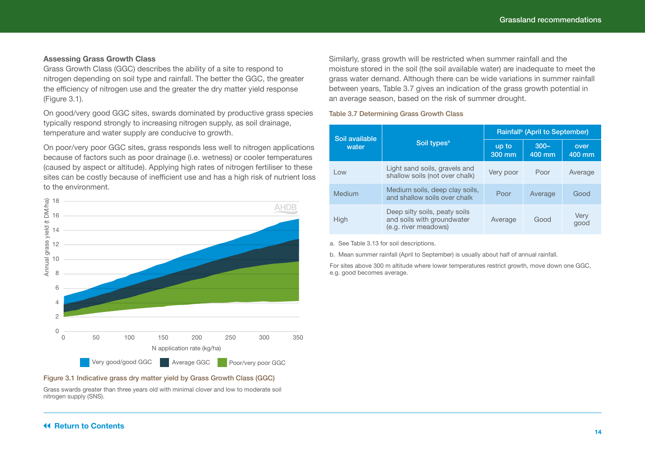#### **Assessing Grass Growth Class**

Grass Growth Class (GGC) describes the ability of a site to respond to nitrogen depending on soil type and rainfall. The better the GGC, the greater the efficiency of nitrogen use and the greater the dry matter yield response (Figure 3.1).

On good/very good GGC sites, swards dominated by productive grass species typically respond strongly to increasing nitrogen supply, as soil drainage, temperature and water supply are conducive to growth.

On poor/very poor GGC sites, grass responds less well to nitrogen applications because of factors such as poor drainage (i.e. wetness) or cooler temperatures (caused by aspect or altitude). Applying high rates of nitrogen fertiliser to these sites can be costly because of inefficient use and has a high risk of nutrient loss to the environment.



#### Figure 3.1 Indicative grass dry matter yield by Grass Growth Class (GGC)

Grass swards greater than three years old with minimal clover and low to moderate soil nitrogen supply (SNS).

Similarly, grass growth will be restricted when summer rainfall and the moisture stored in the soil (the soil available water) are inadequate to meet the grass water demand. Although there can be wide variations in summer rainfall between years, Table 3.7 gives an indication of the grass growth potential in an average season, based on the risk of summer drought.

#### Table 3.7 Determining Grass Growth Class

| Soil available |                                                                                     | Rainfall <sup>b</sup> (April to September) |                   |                |  |
|----------------|-------------------------------------------------------------------------------------|--------------------------------------------|-------------------|----------------|--|
| water          | Soil types <sup>a</sup>                                                             | up to<br>300 mm                            | $300 -$<br>400 mm | over<br>400 mm |  |
| Low            | Light sand soils, gravels and<br>shallow soils (not over chalk)                     | Very poor                                  | Poor              | Average        |  |
| Medium         | Medium soils, deep clay soils,<br>and shallow soils over chalk                      | Poor                                       | Average           | Good           |  |
| High           | Deep silty soils, peaty soils<br>and soils with groundwater<br>(e.g. river meadows) | Average                                    | Good              | Very<br>good   |  |

a. See Table 3.13 for soil descriptions.

b. Mean summer rainfall (April to September) is usually about half of annual rainfall.

For sites above 300 m altitude where lower temperatures restrict growth, move down one GGC, e.g. good becomes average.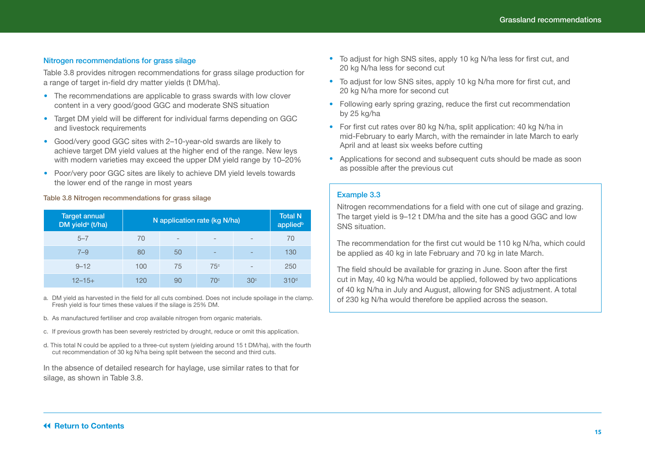#### Nitrogen recommendations for grass silage

Table 3.8 provides nitrogen recommendations for grass silage production for a range of target in-field dry matter yields (t DM/ha).

- The recommendations are applicable to grass swards with low clover content in a very good/good GGC and moderate SNS situation
- **•**  Target DM yield will be different for individual farms depending on GGC and livestock requirements
- **•**  Good/very good GGC sites with 2–10-year-old swards are likely to achieve target DM yield values at the higher end of the range. New leys with modern varieties may exceed the upper DM yield range by 10–20%
- **•**  Poor/very poor GGC sites are likely to achieve DM yield levels towards the lower end of the range in most years

#### Table 3.8 Nitrogen recommendations for grass silage

| <b>Target annual</b><br>DM yield <sup>a</sup> (t/ha) | N application rate (kg N/ha) | <b>Total N</b><br>appliedb |                          |                 |                  |
|------------------------------------------------------|------------------------------|----------------------------|--------------------------|-----------------|------------------|
| $5 - 7$                                              | 70                           | $\qquad \qquad$            | $\qquad \qquad$          | $\qquad \qquad$ | 70               |
| $7 - 9$                                              | 80                           | 50                         | $\overline{\phantom{m}}$ | $\qquad \qquad$ | 130              |
| $9 - 12$                                             | 100                          | 75                         | 75c                      | $\qquad \qquad$ | 250              |
| $12 - 15 +$                                          | 120                          | 90                         | 70 <sup>c</sup>          | 30 <sup>c</sup> | 310 <sup>d</sup> |

- a. DM yield as harvested in the field for all cuts combined. Does not include spoilage in the clamp. Fresh yield is four times these values if the silage is 25% DM.
- b. As manufactured fertiliser and crop available nitrogen from organic materials.
- c. If previous growth has been severely restricted by drought, reduce or omit this application.
- d. This total N could be applied to a three-cut system (yielding around 15 t DM/ha), with the fourth cut recommendation of 30 kg N/ha being split between the second and third cuts.

In the absence of detailed research for haylage, use similar rates to that for silage, as shown in Table 3.8.

- **•**  To adjust for high SNS sites, apply 10 kg N/ha less for first cut, and 20 kg N/ha less for second cut
- **•**  To adjust for low SNS sites, apply 10 kg N/ha more for first cut, and 20 kg N/ha more for second cut
- Following early spring grazing, reduce the first cut recommendation by 25 kg/ha
- **•**  For first cut rates over 80 kg N/ha, split application: 40 kg N/ha in mid-February to early March, with the remainder in late March to early April and at least six weeks before cutting
- Applications for second and subsequent cuts should be made as soon as possible after the previous cut

#### Example 3.3

Nitrogen recommendations for a field with one cut of silage and grazing. The target yield is 9–12 t DM/ha and the site has a good GGC and low SNS situation.

The recommendation for the first cut would be 110 kg N/ha, which could be applied as 40 kg in late February and 70 kg in late March.

The field should be available for grazing in June. Soon after the first cut in May, 40 kg N/ha would be applied, followed by two applications of 40 kg N/ha in July and August, allowing for SNS adjustment. A total of 230 kg N/ha would therefore be applied across the season.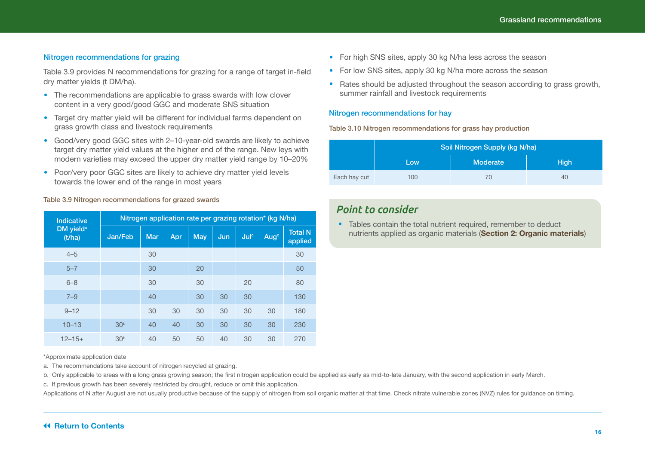#### Nitrogen recommendations for grazing

Table 3.9 provides N recommendations for grazing for a range of target in-field dry matter yields (t DM/ha).

- The recommendations are applicable to grass swards with low clover content in a very good/good GGC and moderate SNS situation
- **•**  Target dry matter yield will be different for individual farms dependent on grass growth class and livestock requirements
- **•**  Good/very good GGC sites with 2–10-year-old swards are likely to achieve target dry matter yield values at the higher end of the range. New leys with modern varieties may exceed the upper dry matter yield range by 10–20%
- **•**  Poor/very poor GGC sites are likely to achieve dry matter yield levels towards the lower end of the range in most years

#### Table 3.9 Nitrogen recommendations for grazed swards

| <b>Indicative</b>               | Nitrogen application rate per grazing rotation* (kg N/ha) |            |     |            |     |                  |                  |                           |  |
|---------------------------------|-----------------------------------------------------------|------------|-----|------------|-----|------------------|------------------|---------------------------|--|
| DM vield <sup>a</sup><br>(t/ha) | Jan/Feb                                                   | <b>Mar</b> | Apr | <b>May</b> | Jun | Jul <sup>c</sup> | Aug <sup>c</sup> | <b>Total N</b><br>applied |  |
| $4 - 5$                         |                                                           | 30         |     |            |     |                  |                  | 30                        |  |
| $5 - 7$                         |                                                           | 30         |     | 20         |     |                  |                  | 50                        |  |
| $6 - 8$                         |                                                           | 30         |     | 30         |     | 20               |                  | 80                        |  |
| $7 - 9$                         |                                                           | 40         |     | 30         | 30  | 30               |                  | 130                       |  |
| $9 - 12$                        |                                                           | 30         | 30  | 30         | 30  | 30               | 30               | 180                       |  |
| $10 - 13$                       | 30 <sup>b</sup>                                           | 40         | 40  | 30         | 30  | 30               | 30               | 230                       |  |
| $12 - 15 +$                     | 30 <sup>b</sup>                                           | 40         | 50  | 50         | 40  | 30               | 30               | 270                       |  |

\*Approximate application date

a. The recommendations take account of nitrogen recycled at grazing.

b. Only applicable to areas with a long grass growing season; the first nitrogen application could be applied as early as mid-to-late January, with the second application in early March.

c. If previous growth has been severely restricted by drought, reduce or omit this application.

Applications of N after August are not usually productive because of the supply of nitrogen from soil organic matter at that time. Check nitrate vulnerable zones (NVZ) rules for guidance on timing.

- **•**  For high SNS sites, apply 30 kg N/ha less across the season
- **•**  For low SNS sites, apply 30 kg N/ha more across the season
- Rates should be adjusted throughout the season according to grass growth, summer rainfall and livestock requirements

#### Nitrogen recommendations for hay

Table 3.10 Nitrogen recommendations for grass hay production

|              | Soil Nitrogen Supply (kg N/ha) |                 |             |  |  |
|--------------|--------------------------------|-----------------|-------------|--|--|
|              | Low                            | <b>Moderate</b> | <b>High</b> |  |  |
| Each hay cut | 100                            | 70              | 40          |  |  |

### *Point to consider*

• Tables contain the total nutrient required, remember to deduct nutrients applied as organic materials (**Section 2: Organic materials**)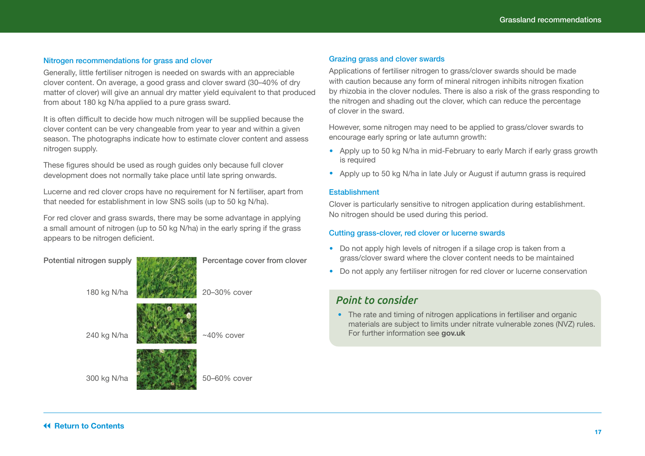#### Nitrogen recommendations for grass and clover

Generally, little fertiliser nitrogen is needed on swards with an appreciable clover content. On average, a good grass and clover sward (30–40% of dry matter of clover) will give an annual dry matter yield equivalent to that produced from about 180 kg N/ha applied to a pure grass sward.

It is often difficult to decide how much nitrogen will be supplied because the clover content can be very changeable from year to year and within a given season. The photographs indicate how to estimate clover content and assess nitrogen supply.

These figures should be used as rough guides only because full clover development does not normally take place until late spring onwards.

Lucerne and red clover crops have no requirement for N fertiliser, apart from that needed for establishment in low SNS soils (up to 50 kg N/ha).

For red clover and grass swards, there may be some advantage in applying a small amount of nitrogen (up to 50 kg N/ha) in the early spring if the grass appears to be nitrogen deficient.

| Potential nitrogen supply | Percentage cover from clover |
|---------------------------|------------------------------|
| 180 kg N/ha               | 20-30% cover                 |
| 240 kg N/ha               | $~10\%$ cover                |
| 300 kg N/ha               | 50-60% cover                 |

#### Grazing grass and clover swards

Applications of fertiliser nitrogen to grass/clover swards should be made with caution because any form of mineral nitrogen inhibits nitrogen fixation by rhizobia in the clover nodules. There is also a risk of the grass responding to the nitrogen and shading out the clover, which can reduce the percentage of clover in the sward.

However, some nitrogen may need to be applied to grass/clover swards to encourage early spring or late autumn growth:

- **•**  Apply up to 50 kg N/ha in mid-February to early March if early grass growth is required
- **•**  Apply up to 50 kg N/ha in late July or August if autumn grass is required

#### **Establishment**

Clover is particularly sensitive to nitrogen application during establishment. No nitrogen should be used during this period.

#### Cutting grass-clover, red clover or lucerne swards

- Do not apply high levels of nitrogen if a silage crop is taken from a grass/clover sward where the clover content needs to be maintained
- Do not apply any fertiliser nitrogen for red clover or lucerne conservation

### *Point to consider*

• The rate and timing of nitrogen applications in fertiliser and organic materials are subject to limits under nitrate vulnerable zones (NVZ) rules. For further information see **[gov.uk](http://gov.uk)**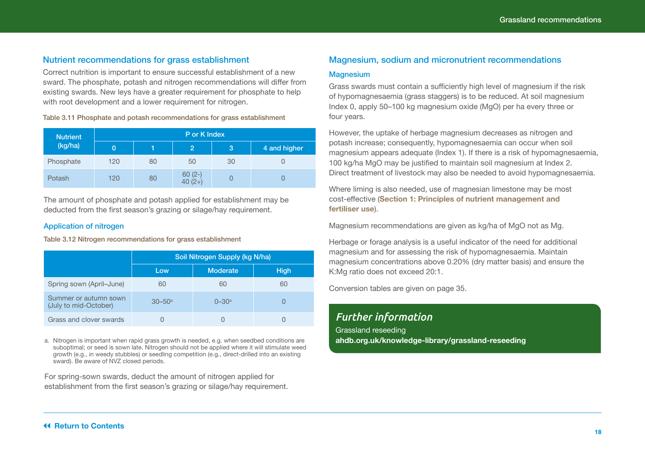#### <span id="page-17-0"></span>Nutrient recommendations for grass establishment

Correct nutrition is important to ensure successful establishment of a new sward. The phosphate, potash and nitrogen recommendations will differ from existing swards. New leys have a greater requirement for phosphate to help with root development and a lower requirement for nitrogen.

#### Table 3.11 Phosphate and potash recommendations for grass establishment

| <b>Nutrient</b> | P or K Index |    |                       |    |              |  |  |  |
|-----------------|--------------|----|-----------------------|----|--------------|--|--|--|
| (kg/ha)         | 0            |    | $\overline{2}$        | 3  | 4 and higher |  |  |  |
| Phosphate       | 120          | 80 | 50                    | 30 |              |  |  |  |
| Potash          | 120          | 80 | $60(2-)$<br>40 $(2+)$ |    |              |  |  |  |

The amount of phosphate and potash applied for establishment may be deducted from the first season's grazing or silage/hay requirement.

#### Application of nitrogen

Table 3.12 Nitrogen recommendations for grass establishment

|                                                | Soil Nitrogen Supply (kg N/ha) |                       |             |  |  |  |  |
|------------------------------------------------|--------------------------------|-----------------------|-------------|--|--|--|--|
|                                                | Low                            | <b>Moderate</b>       | <b>High</b> |  |  |  |  |
| Spring sown (April-June)                       | 60                             | 60                    | 60          |  |  |  |  |
| Summer or autumn sown<br>(July to mid-October) | $30 - 50$ <sup>a</sup>         | $0 - 30$ <sup>a</sup> |             |  |  |  |  |
| Grass and clover swards                        |                                |                       |             |  |  |  |  |

a. Nitrogen is important when rapid grass growth is needed, e.g. when seedbed conditions are suboptimal; or seed is sown late. Nitrogen should not be applied where it will stimulate weed growth (e.g., in weedy stubbles) or seedling competition (e.g., direct-drilled into an existing sward). Be aware of NVZ closed periods.

For spring-sown swards, deduct the amount of nitrogen applied for establishment from the first season's grazing or silage/hay requirement.

#### Magnesium, sodium and micronutrient recommendations

#### **Magnesium**

Grass swards must contain a sufficiently high level of magnesium if the risk of hypomagnesaemia (grass staggers) is to be reduced. At soil magnesium Index 0, apply 50–100 kg magnesium oxide (MgO) per ha every three or four years.

However, the uptake of herbage magnesium decreases as nitrogen and potash increase; consequently, hypomagnesaemia can occur when soil magnesium appears adequate (Index 1). If there is a risk of hypomagnesaemia, 100 kg/ha MgO may be justified to maintain soil magnesium at Index 2. Direct treatment of livestock may also be needed to avoid hypomagnesaemia.

Where liming is also needed, use of magnesian limestone may be most cost-effective (**Section 1: Principles of nutrient management and fertiliser use**).

Magnesium recommendations are given as kg/ha of MgO not as Mg.

Herbage or forage analysis is a useful indicator of the need for additional magnesium and for assessing the risk of hypomagnesaemia. Maintain magnesium concentrations above 0.20% (dry matter basis) and ensure the K:Mg ratio does not exceed 20:1.

Conversion tables are given on page 35.

### *Further information*

Grassland reseeding **[ahdb.org.uk/knowledge-library/grassland-reseeding](https://ahdb.org.uk/knowledge-library/grassland-reseeding)**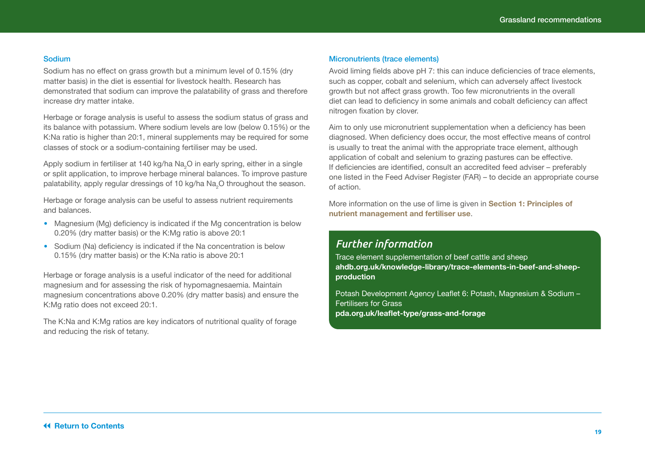#### Sodium

Sodium has no effect on grass growth but a minimum level of 0.15% (dry matter basis) in the diet is essential for livestock health. Research has demonstrated that sodium can improve the palatability of grass and therefore increase dry matter intake.

Herbage or forage analysis is useful to assess the sodium status of grass and its balance with potassium. Where sodium levels are low (below 0.15%) or the K:Na ratio is higher than 20:1, mineral supplements may be required for some classes of stock or a sodium-containing fertiliser may be used.

Apply sodium in fertiliser at 140 kg/ha Na<sub>2</sub>O in early spring, either in a single or split application, to improve herbage mineral balances. To improve pasture palatability, apply regular dressings of 10 kg/ha Na $_2^{}$ O throughout the season.

Herbage or forage analysis can be useful to assess nutrient requirements and balances.

- Magnesium (Mg) deficiency is indicated if the Mg concentration is below 0.20% (dry matter basis) or the K:Mg ratio is above 20:1
- **•**  Sodium (Na) deficiency is indicated if the Na concentration is below 0.15% (dry matter basis) or the K:Na ratio is above 20:1

Herbage or forage analysis is a useful indicator of the need for additional magnesium and for assessing the risk of hypomagnesaemia. Maintain magnesium concentrations above 0.20% (dry matter basis) and ensure the K:Mg ratio does not exceed 20:1.

The K:Na and K:Mg ratios are key indicators of nutritional quality of forage and reducing the risk of tetany.

#### Micronutrients (trace elements)

Avoid liming fields above pH 7: this can induce deficiencies of trace elements, such as copper, cobalt and selenium, which can adversely affect livestock growth but not affect grass growth. Too few micronutrients in the overall diet can lead to deficiency in some animals and cobalt deficiency can affect nitrogen fixation by clover.

Aim to only use micronutrient supplementation when a deficiency has been diagnosed. When deficiency does occur, the most effective means of control is usually to treat the animal with the appropriate trace element, although application of cobalt and selenium to grazing pastures can be effective. If deficiencies are identified, consult an accredited feed adviser – preferably one listed in the Feed Adviser Register (FAR) – to decide an appropriate course of action.

More information on the use of lime is given in **Section 1: Principles of nutrient management and fertiliser use**.

### *Further information*

Trace element supplementation of beef cattle and sheep **[ahdb.org.uk/knowledge-library/trace-elements-in-beef-and-sheep](https://ahdb.org.uk/knowledge-library/trace-elements-in-beef-and-sheep-production)[production](https://ahdb.org.uk/knowledge-library/trace-elements-in-beef-and-sheep-production)**

Potash Development Agency Leaflet 6: Potash, Magnesium & Sodium – Fertilisers for Grass **[pda.org.uk/leaflet-type/grass-and-forage](http://www.pda.org.uk/leaflet-type/grass-and-forage )**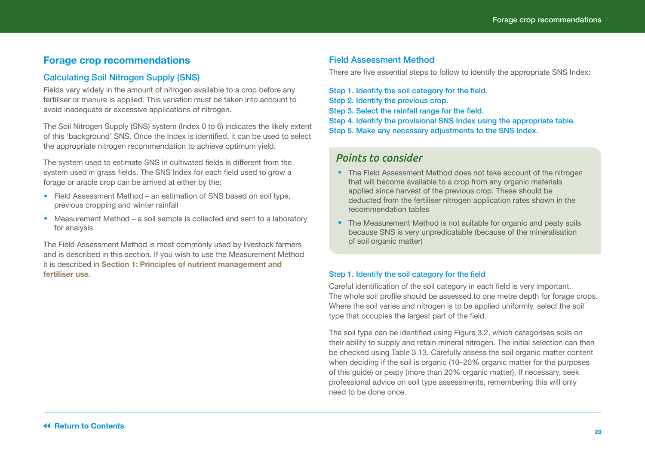### <span id="page-19-0"></span>**Forage crop recommendations**

#### Calculating Soil Nitrogen Supply (SNS)

Fields vary widely in the amount of nitrogen available to a crop before any fertiliser or manure is applied. This variation must be taken into account to avoid inadequate or excessive applications of nitrogen.

The Soil Nitrogen Supply (SNS) system (Index 0 to 6) indicates the likely extent of this 'background' SNS. Once the Index is identified, it can be used to select the appropriate nitrogen recommendation to achieve optimum yield.

The system used to estimate SNS in cultivated fields is different from the system used in grass fields. The SNS Index for each field used to grow a forage or arable crop can be arrived at either by the:

- **•**  Field Assessment Method an estimation of SNS based on soil type, previous cropping and winter rainfall
- Measurement Method a soil sample is collected and sent to a laboratory for analysis

The Field Assessment Method is most commonly used by livestock farmers and is described in this section. If you wish to use the Measurement Method it is described in **Section 1: Principles of nutrient management and fertiliser use**.

#### Field Assessment Method

There are five essential steps to follow to identify the appropriate SNS Index:

Step 1. Identify the soil category for the field.

- Step 2. Identify the previous crop.
- Step 3. Select the rainfall range for the field.
- Step 4. Identify the provisional SNS Index using the appropriate table. Step 5. Make any necessary adjustments to the SNS Index.

### *Points to consider*

- The Field Assessment Method does not take account of the nitrogen that will become available to a crop from any organic materials applied since harvest of the previous crop. These should be deducted from the fertiliser nitrogen application rates shown in the recommendation tables
- The Measurement Method is not suitable for organic and peaty soils because SNS is very unpredicatable (because of the mineralisation of soil organic matter)

#### Step 1. Identify the soil category for the field

Careful identification of the soil category in each field is very important. The whole soil profile should be assessed to one metre depth for forage crops. Where the soil varies and nitrogen is to be applied uniformly, select the soil type that occupies the largest part of the field.

The soil type can be identified using Figure 3.2, which categorises soils on their ability to supply and retain mineral nitrogen. The initial selection can then be checked using Table 3.13. Carefully assess the soil organic matter content when deciding if the soil is organic (10–20% organic matter for the purposes of this guide) or peaty (more than 20% organic matter). If necessary, seek professional advice on soil type assessments, remembering this will only need to be done once.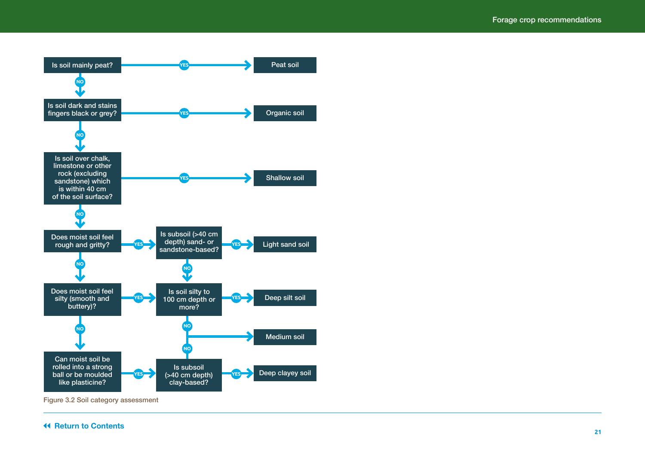

Figure 3.2 Soil category assessment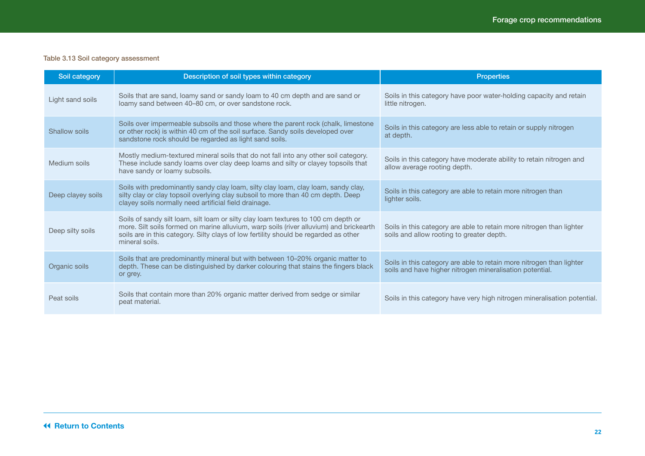#### Table 3.13 Soil category assessment

| Soil category     | Description of soil types within category                                                                                                                                                                                                                                              | <b>Properties</b>                                                                                                                |
|-------------------|----------------------------------------------------------------------------------------------------------------------------------------------------------------------------------------------------------------------------------------------------------------------------------------|----------------------------------------------------------------------------------------------------------------------------------|
| Light sand soils  | Soils that are sand, loamy sand or sandy loam to 40 cm depth and are sand or<br>loamy sand between 40–80 cm, or over sandstone rock.                                                                                                                                                   | Soils in this category have poor water-holding capacity and retain<br>little nitrogen.                                           |
| Shallow soils     | Soils over impermeable subsoils and those where the parent rock (chalk, limestone<br>or other rock) is within 40 cm of the soil surface. Sandy soils developed over<br>sandstone rock should be regarded as light sand soils.                                                          | Soils in this category are less able to retain or supply nitrogen<br>at depth.                                                   |
| Medium soils      | Mostly medium-textured mineral soils that do not fall into any other soil category.<br>These include sandy loams over clay deep loams and silty or clayey topsoils that<br>have sandy or loamy subsoils.                                                                               | Soils in this category have moderate ability to retain nitrogen and<br>allow average rooting depth.                              |
| Deep clayey soils | Soils with predominantly sandy clay loam, silty clay loam, clay loam, sandy clay,<br>silty clay or clay topsoil overlying clay subsoil to more than 40 cm depth. Deep<br>clayey soils normally need artificial field drainage.                                                         | Soils in this category are able to retain more nitrogen than<br>lighter soils.                                                   |
| Deep silty soils  | Soils of sandy silt loam, silt loam or silty clay loam textures to 100 cm depth or<br>more. Silt soils formed on marine alluvium, warp soils (river alluvium) and brickearth<br>soils are in this category. Silty clays of low fertility should be regarded as other<br>mineral soils. | Soils in this category are able to retain more nitrogen than lighter<br>soils and allow rooting to greater depth.                |
| Organic soils     | Soils that are predominantly mineral but with between 10-20% organic matter to<br>depth. These can be distinguished by darker colouring that stains the fingers black<br>or grey.                                                                                                      | Soils in this category are able to retain more nitrogen than lighter<br>soils and have higher nitrogen mineralisation potential. |
| Peat soils        | Soils that contain more than 20% organic matter derived from sedge or similar<br>peat material.                                                                                                                                                                                        | Soils in this category have very high nitrogen mineralisation potential.                                                         |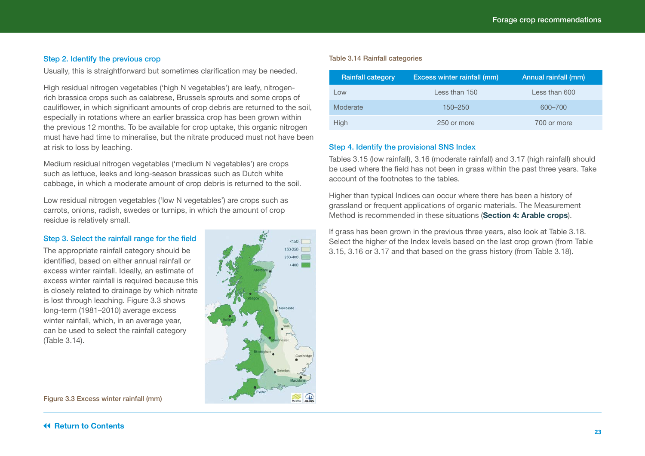#### Step 2. Identify the previous crop

Usually, this is straightforward but sometimes clarification may be needed.

High residual nitrogen vegetables ('high N vegetables') are leafy, nitrogenrich brassica crops such as calabrese, Brussels sprouts and some crops of cauliflower, in which significant amounts of crop debris are returned to the soil, especially in rotations where an earlier brassica crop has been grown within the previous 12 months. To be available for crop uptake, this organic nitrogen must have had time to mineralise, but the nitrate produced must not have been at risk to loss by leaching.

Medium residual nitrogen vegetables ('medium N vegetables') are crops such as lettuce, leeks and long-season brassicas such as Dutch white cabbage, in which a moderate amount of crop debris is returned to the soil.

Low residual nitrogen vegetables ('low N vegetables') are crops such as carrots, onions, radish, swedes or turnips, in which the amount of crop residue is relatively small.

#### Step 3. Select the rainfall range for the field

The appropriate rainfall category should be identified, based on either annual rainfall or excess winter rainfall. Ideally, an estimate of excess winter rainfall is required because this is closely related to drainage by which nitrate is lost through leaching. Figure 3.3 shows long-term (1981–2010) average excess winter rainfall, which, in an average year, can be used to select the rainfall category (Table 3.14).



#### Figure 3.3 Excess winter rainfall (mm)

#### Table 3.14 Rainfall categories

| <b>Rainfall category</b> | Excess winter rainfall (mm) | Annual rainfall (mm) |
|--------------------------|-----------------------------|----------------------|
| Low                      | Less than 150               | Less than 600        |
| Moderate                 | 150–250                     | 600-700              |
| High                     | 250 or more                 | 700 or more          |

#### Step 4. Identify the provisional SNS Index

Tables 3.15 (low rainfall), 3.16 (moderate rainfall) and 3.17 (high rainfall) should be used where the field has not been in grass within the past three years. Take account of the footnotes to the tables.

Higher than typical Indices can occur where there has been a history of grassland or frequent applications of organic materials. The Measurement Method is recommended in these situations (**Section 4: Arable crops**).

If grass has been grown in the previous three years, also look at Table 3.18. Select the higher of the Index levels based on the last crop grown (from Table 3.15, 3.16 or 3.17 and that based on the grass history (from Table 3.18).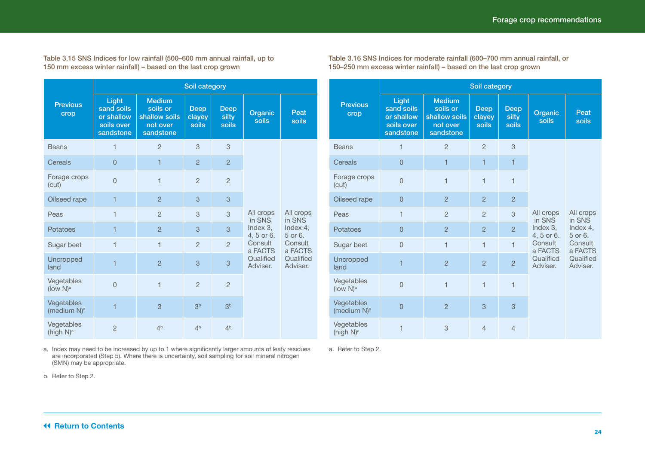Table 3.15 SNS Indices for low rainfall (500–600 mm annual rainfall, up to 150 mm excess winter rainfall) – based on the last crop grown

|                                       | Soil category                                                |                                                                     |                                |                               |                                                 |                                            |  |  |  |
|---------------------------------------|--------------------------------------------------------------|---------------------------------------------------------------------|--------------------------------|-------------------------------|-------------------------------------------------|--------------------------------------------|--|--|--|
| <b>Previous</b><br>crop               | Light<br>sand soils<br>or shallow<br>soils over<br>sandstone | <b>Medium</b><br>soils or<br>shallow soils<br>not over<br>sandstone | <b>Deep</b><br>clayey<br>soils | <b>Deep</b><br>silty<br>soils | Organic<br>soils                                | Peat<br>soils                              |  |  |  |
| <b>Beans</b>                          | 1                                                            | $\overline{2}$                                                      | 3                              | 3                             |                                                 |                                            |  |  |  |
| Cereals                               | $\overline{0}$                                               | $\overline{1}$                                                      | $\overline{2}$                 | $\overline{2}$                |                                                 |                                            |  |  |  |
| Forage crops<br>(cut)                 | $\Omega$                                                     | 1                                                                   | $\overline{2}$                 | $\overline{2}$                |                                                 | All crops<br>in SNS<br>Index 4,<br>5 or 6. |  |  |  |
| Oilseed rape                          | $\overline{1}$                                               | $\overline{2}$                                                      | 3                              | 3                             |                                                 |                                            |  |  |  |
| Peas                                  | 1                                                            | $\overline{2}$                                                      | 3                              | 3                             | All crops<br>in SNS                             |                                            |  |  |  |
| Potatoes                              | 1                                                            | $\overline{c}$                                                      | 3                              | 3                             | Index $3$ .<br>4, 5 or 6.<br>Consult<br>a FACTS |                                            |  |  |  |
| Sugar beet                            | $\overline{1}$                                               | $\mathbf{1}$                                                        | $\overline{2}$                 | $\overline{2}$                |                                                 | Consult<br>a FACTS                         |  |  |  |
| Uncropped<br>land                     | 1                                                            | $\overline{2}$                                                      | 3                              | 3                             | Qualified<br>Adviser.                           | Qualified<br>Adviser.                      |  |  |  |
| Vegetables<br>(low $N$ ) <sup>a</sup> | $\overline{0}$                                               | $\mathbf{1}$                                                        | $\overline{2}$                 | $\overline{2}$                |                                                 |                                            |  |  |  |
| Vegetables<br>(medium N) <sup>a</sup> | $\overline{1}$                                               | 3                                                                   | 3 <sup>b</sup>                 | 3 <sup>b</sup>                |                                                 |                                            |  |  |  |
| Vegetables<br>(high N) <sup>a</sup>   | $\overline{2}$                                               | 4 <sup>b</sup>                                                      | 4 <sup>b</sup>                 | 4 <sup>b</sup>                |                                                 |                                            |  |  |  |

a. Index may need to be increased by up to 1 where significantly larger amounts of leafy residues are incorporated (Step 5). Where there is uncertainty, soil sampling for soil mineral nitrogen (SMN) may be appropriate.

Table 3.16 SNS Indices for moderate rainfall (600–700 mm annual rainfall, or 150–250 mm excess winter rainfall) – based on the last crop grown

|                                       | Soil category                                                |                                                                     |                                |                               |                           |                                                                    |  |  |  |
|---------------------------------------|--------------------------------------------------------------|---------------------------------------------------------------------|--------------------------------|-------------------------------|---------------------------|--------------------------------------------------------------------|--|--|--|
| <b>Previous</b><br>crop               | Light<br>sand soils<br>or shallow<br>soils over<br>sandstone | <b>Medium</b><br>soils or<br>shallow soils<br>not over<br>sandstone | <b>Deep</b><br>clayey<br>soils | <b>Deep</b><br>silty<br>soils | Organic<br>soils          | Peat<br>soils                                                      |  |  |  |
| <b>Beans</b>                          | 1                                                            | $\overline{2}$                                                      | $\overline{2}$                 | 3                             |                           |                                                                    |  |  |  |
| Cereals                               | $\overline{0}$                                               | $\mathbf{1}$                                                        | $\mathbf{1}$                   | $\mathbf{1}$                  |                           |                                                                    |  |  |  |
| Forage crops<br>(cut)                 | $\overline{0}$                                               | $\overline{\phantom{a}}$                                            | $\overline{1}$                 | $\overline{1}$                |                           |                                                                    |  |  |  |
| Oilseed rape                          | $\overline{0}$                                               | $\overline{2}$                                                      | $\overline{2}$                 | $\overline{2}$                |                           |                                                                    |  |  |  |
| Peas                                  | $\mathbf{1}$                                                 | $\overline{2}$                                                      | $\overline{2}$                 | 3                             | All crops<br>in SNS       | All crops<br>in SNS                                                |  |  |  |
| Potatoes                              | $\overline{0}$                                               | $\overline{2}$                                                      | $\overline{2}$                 | $\overline{2}$                | Index $3$ .<br>4, 5 or 6. | Index 4.<br>5 or 6.<br>Consult<br>a FACTS<br>Qualified<br>Adviser. |  |  |  |
| Sugar beet                            | $\overline{0}$                                               | $\mathbf{1}$                                                        | $\mathbf{1}$                   | $\mathbf{1}$                  | Consult<br>a FACTS        |                                                                    |  |  |  |
| Uncropped<br>land                     | $\overline{1}$                                               | $\overline{2}$                                                      | $\overline{2}$                 | $\overline{2}$                | Qualified<br>Adviser.     |                                                                    |  |  |  |
| Vegetables<br>(low $N$ ) <sup>a</sup> | $\overline{0}$                                               | $\mathbf{1}$                                                        | $\overline{1}$                 | 1                             |                           |                                                                    |  |  |  |
| Vegetables<br>(medium N) <sup>a</sup> | $\overline{0}$                                               | $\overline{2}$                                                      | 3                              | 3                             |                           |                                                                    |  |  |  |
| Vegetables<br>(high N) <sup>a</sup>   | 1                                                            | 3                                                                   | $\overline{4}$                 | $\overline{4}$                |                           |                                                                    |  |  |  |

a. Refer to Step 2.

b. Refer to Step 2.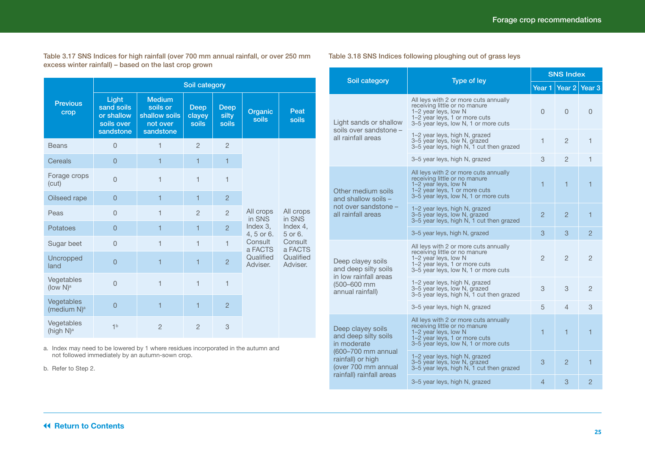Table 3.17 SNS Indices for high rainfall (over 700 mm annual rainfall, or over 250 mm excess winter rainfall) – based on the last crop grown

|                                        | Soil category                                                |                                                                     |                                       |                               |                                              |                                            |  |  |
|----------------------------------------|--------------------------------------------------------------|---------------------------------------------------------------------|---------------------------------------|-------------------------------|----------------------------------------------|--------------------------------------------|--|--|
| <b>Previous</b><br>crop                | Light<br>sand soils<br>or shallow<br>soils over<br>sandstone | <b>Medium</b><br>soils or<br>shallow soils<br>not over<br>sandstone | <b>Deep</b><br>clayey<br><b>soils</b> | <b>Deep</b><br>silty<br>soils | Organic<br>soils                             | Peat<br>soils                              |  |  |
| <b>Beans</b>                           | $\overline{0}$                                               | $\overline{1}$                                                      | $\overline{2}$                        | $\overline{2}$                |                                              |                                            |  |  |
| Cereals                                | $\overline{0}$                                               | 1                                                                   | $\mathbf{1}$                          | 1                             |                                              |                                            |  |  |
| Forage crops<br>(cut)                  | $\overline{0}$                                               | 1                                                                   | $\mathbf{1}$                          | $\overline{1}$                |                                              |                                            |  |  |
| Oilseed rape                           | $\overline{0}$                                               | 1                                                                   | 1                                     | $\overline{2}$                |                                              | All crops<br>in SNS<br>Index 4,<br>5 or 6. |  |  |
| Peas                                   | $\Omega$                                                     | $\overline{1}$                                                      | $\overline{2}$                        | $\overline{2}$                | All crops<br>in SNS                          |                                            |  |  |
| Potatoes                               | $\overline{0}$                                               | 1                                                                   | $\mathbf{1}$                          | $\mathcal{P}$                 | Index 3.<br>4, 5 or 6.<br>Consult<br>a FACTS |                                            |  |  |
| Sugar beet                             | $\overline{0}$                                               | 1                                                                   | $\mathbf{1}$                          | $\overline{1}$                |                                              | Consult<br>a FACTS                         |  |  |
| Uncropped<br>land                      | $\overline{0}$                                               | 1                                                                   | 1                                     | $\overline{2}$                | Qualified<br>Adviser.                        | Qualified<br>Adviser.                      |  |  |
| Vegetables<br>(low $N$ ) <sup>a</sup>  | $\overline{0}$                                               | 1                                                                   | $\mathbf{1}$                          | $\mathbf{1}$                  |                                              |                                            |  |  |
| Vegetables<br>(medium N) <sup>a</sup>  | $\overline{0}$                                               | 1                                                                   | $\overline{1}$                        | $\overline{2}$                |                                              |                                            |  |  |
| Vegetables<br>(high $N$ ) <sup>a</sup> | 1 <sup>b</sup>                                               | $\overline{2}$                                                      | $\overline{2}$                        | 3                             |                                              |                                            |  |  |

a. Index may need to be lowered by 1 where residues incorporated in the autumn and not followed immediately by an autumn-sown crop.

b. Refer to Step 2.

#### Table 3.18 SNS Indices following ploughing out of grass leys

|                                                                                            | Type of ley                                                                                                                                                             |                | <b>SNS Index</b>        |                   |
|--------------------------------------------------------------------------------------------|-------------------------------------------------------------------------------------------------------------------------------------------------------------------------|----------------|-------------------------|-------------------|
| Soil category                                                                              |                                                                                                                                                                         | Year 1         | Year $2$                | Year <sub>3</sub> |
| Light sands or shallow                                                                     | All leys with 2 or more cuts annually<br>receiving little or no manure<br>1-2 year leys, low N<br>1–2 year leys, 1 or more cuts<br>3–5 year leys, low N, 1 or more cuts | 0              | $\Omega$                | $\Omega$          |
| soils over sandstone -<br>all rainfall areas                                               | 1–2 year leys, high N, grazed<br>3–5 year leys, low N, grazed<br>3–5 year leys, high N, 1 cut then grazed                                                               | 1              | $\overline{c}$          | 1                 |
|                                                                                            | 3–5 year leys, high N, grazed                                                                                                                                           | 3              | 2                       | 1                 |
| Other medium soils<br>and shallow soils -                                                  | All leys with 2 or more cuts annually<br>receiving little or no manure<br>1–2 year leys, low N<br>1–2 year leys, 1 or more cuts<br>3-5 year leys, low N, 1 or more cuts | 1              | 1                       | 1                 |
| not over sandstone -<br>all rainfall areas                                                 | 1–2 year leys, high N, grazed<br>3–5 year leys, low N, grazed<br>3–5 year leys, high N, 1 cut then grazed                                                               | $\overline{2}$ | $\overline{2}$          | 1                 |
|                                                                                            | 3-5 year leys, high N, grazed                                                                                                                                           | 3              | 3                       | $\overline{2}$    |
| Deep clayey soils<br>and deep silty soils<br>in low rainfall areas                         | All leys with 2 or more cuts annually<br>receiving little or no manure<br>1-2 year leys, low N<br>1-2 year leys, 1 or more cuts<br>3–5 year leys, low N, 1 or more cuts | 2              | $\overline{2}$          | $\mathfrak{D}$    |
| (500-600 mm<br>annual rainfall)                                                            | 1–2 year leys, high N, grazed<br>3–5 year leys, low N, grazed<br>3–5 year leys, high N, 1 cut then grazed                                                               | 3              | 3                       | $\overline{2}$    |
|                                                                                            | 3-5 year leys, high N, grazed                                                                                                                                           | 5              | $\overline{4}$          | 3                 |
| Deep clayey soils<br>and deep silty soils<br>in moderate                                   | All leys with 2 or more cuts annually<br>receiving little or no manure<br>1-2 year leys, low N<br>1-2 year leys, 1 or more cuts<br>3-5 year leys, low N, 1 or more cuts | 1              | $\overline{\mathbf{1}}$ | 1                 |
| (600-700 mm annual<br>rainfall) or high<br>(over 700 mm annual<br>rainfall) rainfall areas | 1–2 year leys, high N, grazed<br>3-5 year leys, low N, grazed<br>3-5 year leys, high N, 1 cut then grazed                                                               | 3              | 2                       | 1                 |
|                                                                                            | 3-5 year leys, high N, grazed                                                                                                                                           | 4              | 3                       | 2                 |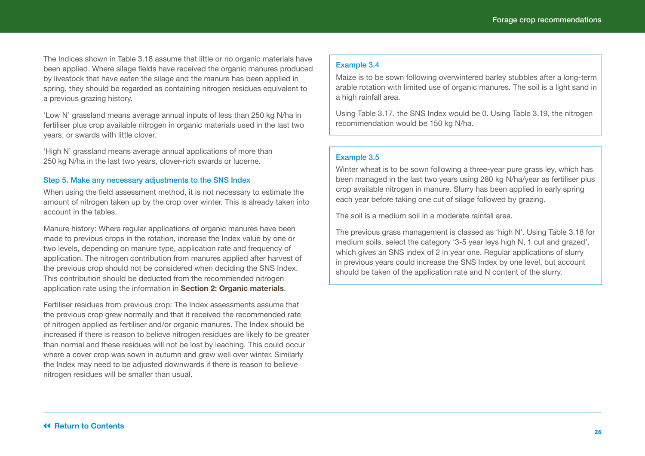The Indices shown in Table 3.18 assume that little or no organic materials have been applied. Where silage fields have received the organic manures produced by livestock that have eaten the silage and the manure has been applied in spring, they should be regarded as containing nitrogen residues equivalent to a previous grazing history.

'Low N' grassland means average annual inputs of less than 250 kg N/ha in fertiliser plus crop available nitrogen in organic materials used in the last two years, or swards with little clover.

'High N' grassland means average annual applications of more than 250 kg N/ha in the last two years, clover-rich swards or lucerne.

#### Step 5. Make any necessary adjustments to the SNS Index

When using the field assessment method, it is not necessary to estimate the amount of nitrogen taken up by the crop over winter. This is already taken into account in the tables.

Manure history: Where regular applications of organic manures have been made to previous crops in the rotation, increase the Index value by one or two levels, depending on manure type, application rate and frequency of application. The nitrogen contribution from manures applied after harvest of the previous crop should not be considered when deciding the SNS Index. This contribution should be deducted from the recommended nitrogen application rate using the information in **Section 2: Organic materials**.

Fertiliser residues from previous crop: The Index assessments assume that the previous crop grew normally and that it received the recommended rate of nitrogen applied as fertiliser and/or organic manures. The Index should be increased if there is reason to believe nitrogen residues are likely to be greater than normal and these residues will not be lost by leaching. This could occur where a cover crop was sown in autumn and grew well over winter. Similarly the Index may need to be adjusted downwards if there is reason to believe nitrogen residues will be smaller than usual.

#### Example 3.4

Maize is to be sown following overwintered barley stubbles after a long-term arable rotation with limited use of organic manures. The soil is a light sand in a high rainfall area.

Using Table 3.17, the SNS Index would be 0. Using Table 3.19, the nitrogen recommendation would be 150 kg N/ha.

#### Example 3.5

Winter wheat is to be sown following a three-year pure grass ley, which has been managed in the last two years using 280 kg N/ha/year as fertiliser plus crop available nitrogen in manure. Slurry has been applied in early spring each year before taking one cut of silage followed by grazing.

The soil is a medium soil in a moderate rainfall area.

The previous grass management is classed as 'high N'. Using Table 3.18 for medium soils, select the category '3-5 year leys high N, 1 cut and grazed', which gives an SNS index of 2 in year one. Regular applications of slurry in previous years could increase the SNS Index by one level, but account should be taken of the application rate and N content of the slurry.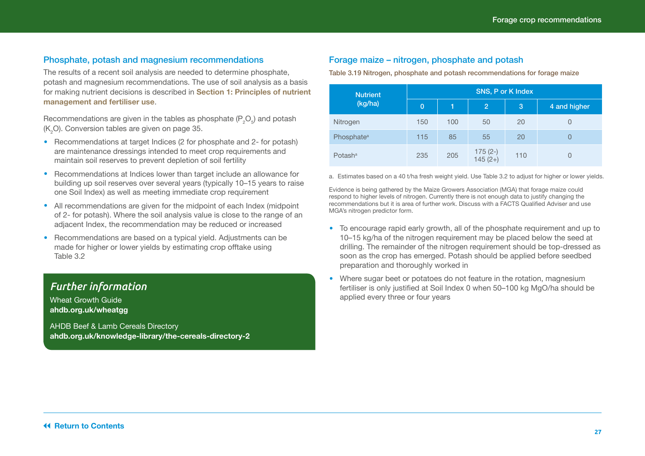#### <span id="page-26-0"></span>Phosphate, potash and magnesium recommendations

The results of a recent soil analysis are needed to determine phosphate, potash and magnesium recommendations. The use of soil analysis as a basis for making nutrient decisions is described in **Section 1: Principles of nutrient management and fertiliser use**.

Recommendations are given in the tables as phosphate (P $_{2}$ O $_{5}$ ) and potash ( $K_2$ O). Conversion tables are given on page 35.

- **•**  Recommendations at target Indices (2 for phosphate and 2- for potash) are maintenance dressings intended to meet crop requirements and maintain soil reserves to prevent depletion of soil fertility
- Recommendations at Indices lower than target include an allowance for building up soil reserves over several years (typically 10–15 years to raise one Soil Index) as well as meeting immediate crop requirement
- All recommendations are given for the midpoint of each Index (midpoint of 2- for potash). Where the soil analysis value is close to the range of an adjacent Index, the recommendation may be reduced or increased
- **•**  Recommendations are based on a typical yield. Adjustments can be made for higher or lower yields by estimating crop offtake using Table 3.2

### *Further information*

Wheat Growth Guide **[ahdb.org.uk/wheatgg](http://ahdb.org.uk/wheatgg)**

AHDB Beef & Lamb Cereals Directory **[ahdb.org.uk/knowledge-library/the-cereals-directory-2](http://ahdb.org.uk/knowledge-library/the-cereals-directory-2)**

#### Forage maize – nitrogen, phosphate and potash

Table 3.19 Nitrogen, phosphate and potash recommendations for forage maize

| <b>Nutrient</b>        | SNS, P or K Index |     |                        |     |              |  |  |
|------------------------|-------------------|-----|------------------------|-----|--------------|--|--|
| (kg/ha)                | $\overline{0}$    | 1   | $\overline{2}$         | 3   | 4 and higher |  |  |
| Nitrogen               | 150               | 100 | 50                     | 20  | 0            |  |  |
| Phosphate <sup>a</sup> | 115               | 85  | 55                     | 20  | 0            |  |  |
| Potash <sup>a</sup>    | 235               | 205 | $175(2-)$<br>$145(2+)$ | 110 | 0            |  |  |

a. Estimates based on a 40 t/ha fresh weight yield. Use Table 3.2 to adjust for higher or lower yields.

Evidence is being gathered by the Maize Growers Association (MGA) that forage maize could respond to higher levels of nitrogen. Currently there is not enough data to justify changing the recommendations but it is area of further work. Discuss with a FACTS Qualified Adviser and use MGA's nitrogen predictor form.

- **•**  To encourage rapid early growth, all of the phosphate requirement and up to 10–15 kg/ha of the nitrogen requirement may be placed below the seed at drilling. The remainder of the nitrogen requirement should be top-dressed as soon as the crop has emerged. Potash should be applied before seedbed preparation and thoroughly worked in
- Where sugar beet or potatoes do not feature in the rotation, magnesium fertiliser is only justified at Soil Index 0 when 50–100 kg MgO/ha should be applied every three or four years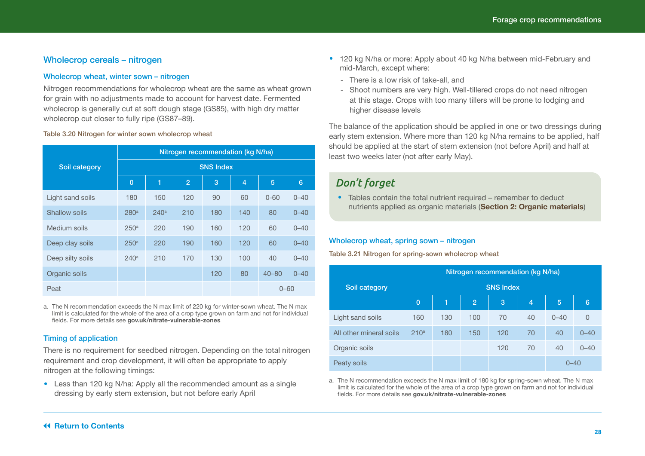#### <span id="page-27-0"></span>Wholecrop cereals – nitrogen

#### Wholecrop wheat, winter sown – nitrogen

Nitrogen recommendations for wholecrop wheat are the same as wheat grown for grain with no adjustments made to account for harvest date. Fermented wholecrop is generally cut at soft dough stage (GS85), with high dry matter wholecrop cut closer to fully ripe (GS87–89).

#### Table 3.20 Nitrogen for winter sown wholecrop wheat

|                  | Nitrogen recommendation (kg N/ha) |                  |                |     |                |           |          |  |  |
|------------------|-----------------------------------|------------------|----------------|-----|----------------|-----------|----------|--|--|
| Soil category    | <b>SNS Index</b>                  |                  |                |     |                |           |          |  |  |
|                  | $\overline{0}$                    | 1                | $\overline{2}$ | 3   | $\overline{4}$ | 5         | 6        |  |  |
| Light sand soils | 180                               | 150              | 120            | 90  | 60             | $0 - 60$  | $0 - 40$ |  |  |
| Shallow soils    | 280 <sup>a</sup>                  | 240 <sup>a</sup> | 210            | 180 | 140            | 80        | $0 - 40$ |  |  |
| Medium soils     | 250 <sup>a</sup>                  | 220              | 190            | 160 | 120            | 60        | $0 - 40$ |  |  |
| Deep clay soils  | 250 <sup>a</sup>                  | 220              | 190            | 160 | 120            | 60        | $0 - 40$ |  |  |
| Deep silty soils | 240 <sup>a</sup>                  | 210              | 170            | 130 | 100            | 40        | $0 - 40$ |  |  |
| Organic soils    |                                   |                  |                | 120 | 80             | $40 - 80$ | $0 - 40$ |  |  |
| Peat             |                                   |                  |                |     |                | $0 - 60$  |          |  |  |

a. The N recommendation exceeds the N max limit of 220 kg for winter-sown wheat. The N max limit is calculated for the whole of the area of a crop type grown on farm and not for individual fields. For more details see **[gov.uk/nitrate-vulnerable-zones](http://gov.uk/nitrate-vulnerable-zones)**

#### Timing of application

There is no requirement for seedbed nitrogen. Depending on the total nitrogen requirement and crop development, it will often be appropriate to apply nitrogen at the following timings:

**•**  Less than 120 kg N/ha: Apply all the recommended amount as a single dressing by early stem extension, but not before early April

- **•**  120 kg N/ha or more: Apply about 40 kg N/ha between mid-February and mid-March, except where:
	- There is a low risk of take-all, and
	- Shoot numbers are very high. Well-tillered crops do not need nitrogen at this stage. Crops with too many tillers will be prone to lodging and higher disease levels

The balance of the application should be applied in one or two dressings during early stem extension. Where more than 120 kg N/ha remains to be applied, half should be applied at the start of stem extension (not before April) and half at least two weeks later (not after early May).

### *Don't forget*

• Tables contain the total nutrient required – remember to deduct nutrients applied as organic materials (**Section 2: Organic materials**)

#### Wholecrop wheat, spring sown – nitrogen

Table 3.21 Nitrogen for spring-sown wholecrop wheat

|                         | Nitrogen recommendation (kg N/ha) |     |                |     |                |          |          |  |  |
|-------------------------|-----------------------------------|-----|----------------|-----|----------------|----------|----------|--|--|
| Soil category           | <b>SNS Index</b>                  |     |                |     |                |          |          |  |  |
|                         | $\overline{0}$                    | ٦   | $\overline{2}$ | 3   | $\overline{4}$ | 5        | 6        |  |  |
| Light sand soils        | 160                               | 130 | 100            | 70  | 40             | $0 - 40$ | $\Omega$ |  |  |
| All other mineral soils | 210 <sup>a</sup>                  | 180 | 150            | 120 | 70             | 40       | $0 - 40$ |  |  |
| Organic soils           |                                   |     |                | 120 | 70             | 40       | $0 - 40$ |  |  |
| Peaty soils             |                                   |     |                |     |                | $0 - 40$ |          |  |  |

a. The N recommendation exceeds the N max limit of 180 kg for spring-sown wheat. The N max limit is calculated for the whole of the area of a crop type grown on farm and not for individual fields. For more details see **[gov.uk/nitrate-vulnerable-zones](http://gov.uk/nitrate-vulnerable-zones)**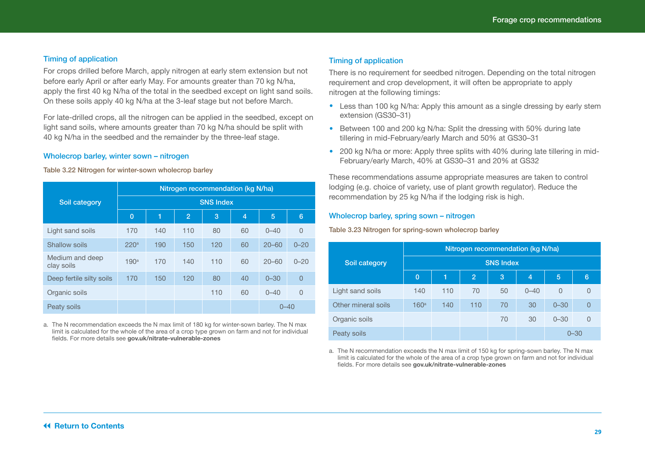#### Timing of application

For crops drilled before March, apply nitrogen at early stem extension but not before early April or after early May. For amounts greater than 70 kg N/ha, apply the first 40 kg N/ha of the total in the seedbed except on light sand soils. On these soils apply 40 kg N/ha at the 3-leaf stage but not before March.

For late-drilled crops, all the nitrogen can be applied in the seedbed, except on light sand soils, where amounts greater than 70 kg N/ha should be split with 40 kg N/ha in the seedbed and the remainder by the three-leaf stage.

#### Wholecrop barley, winter sown – nitrogen

#### Table 3.22 Nitrogen for winter-sown wholecrop barley

|                               | Nitrogen recommendation (kg N/ha) |     |                |     |    |           |                |  |  |  |  |
|-------------------------------|-----------------------------------|-----|----------------|-----|----|-----------|----------------|--|--|--|--|
| Soil category                 | <b>SNS Index</b>                  |     |                |     |    |           |                |  |  |  |  |
|                               | $\overline{0}$                    | 1   | $\overline{2}$ | 3   | 4  | 5         | 6              |  |  |  |  |
| Light sand soils              | 170                               | 140 | 110            | 80  | 60 | $0 - 40$  | $\Omega$       |  |  |  |  |
| Shallow soils                 | 220 <sup>a</sup>                  | 190 | 150            | 120 | 60 | $20 - 60$ | $0 - 20$       |  |  |  |  |
| Medium and deep<br>clay soils | 190 <sup>a</sup>                  | 170 | 140            | 110 | 60 | $20 - 60$ | $0 - 20$       |  |  |  |  |
| Deep fertile silty soils      | 170                               | 150 | 120            | 80  | 40 | $0 - 30$  | $\overline{0}$ |  |  |  |  |
| Organic soils                 |                                   |     |                | 110 | 60 | $0 - 40$  | $\Omega$       |  |  |  |  |
| Peaty soils                   |                                   |     |                |     |    | 0–40      |                |  |  |  |  |

a. The N recommendation exceeds the N max limit of 180 kg for winter-sown barley. The N max limit is calculated for the whole of the area of a crop type grown on farm and not for individual fields. For more details see **[gov.uk/nitrate-vulnerable-zones](http://gov.uk/nitrate-vulnerable-zones)**

#### Timing of application

There is no requirement for seedbed nitrogen. Depending on the total nitrogen requirement and crop development, it will often be appropriate to apply nitrogen at the following timings:

- Less than 100 kg N/ha: Apply this amount as a single dressing by early stem extension (GS30–31)
- **•**  Between 100 and 200 kg N/ha: Split the dressing with 50% during late tillering in mid-February/early March and 50% at GS30–31
- **•**  200 kg N/ha or more: Apply three splits with 40% during late tillering in mid-February/early March, 40% at GS30–31 and 20% at GS32

These recommendations assume appropriate measures are taken to control lodging (e.g. choice of variety, use of plant growth regulator). Reduce the recommendation by 25 kg N/ha if the lodging risk is high.

#### Wholecrop barley, spring sown – nitrogen

#### Table 3.23 Nitrogen for spring-sown wholecrop barley

|                     | Nitrogen recommendation (kg N/ha) |          |                |    |                |          |                |  |  |  |  |
|---------------------|-----------------------------------|----------|----------------|----|----------------|----------|----------------|--|--|--|--|
| Soil category       | <b>SNS Index</b>                  |          |                |    |                |          |                |  |  |  |  |
|                     | $\overline{0}$                    | n        | $\overline{2}$ | 3  | $\overline{4}$ | 5        | 6              |  |  |  |  |
| Light sand soils    | 140                               | 110      | 70             | 50 | $0 - 40$       | $\Omega$ | 0              |  |  |  |  |
| Other mineral soils | 160 <sup>a</sup>                  | 140      | 110            | 70 | 30             | $0 - 30$ | $\overline{0}$ |  |  |  |  |
| Organic soils       |                                   |          |                | 70 | 30             | $0 - 30$ | 0              |  |  |  |  |
| Peaty soils         |                                   | $0 - 30$ |                |    |                |          |                |  |  |  |  |

a. The N recommendation exceeds the N max limit of 150 kg for spring-sown barley. The N max limit is calculated for the whole of the area of a crop type grown on farm and not for individual fields. For more details see **[gov.uk/nitrate-vulnerable-zones](http://gov.uk/nitrate-vulnerable-zones)**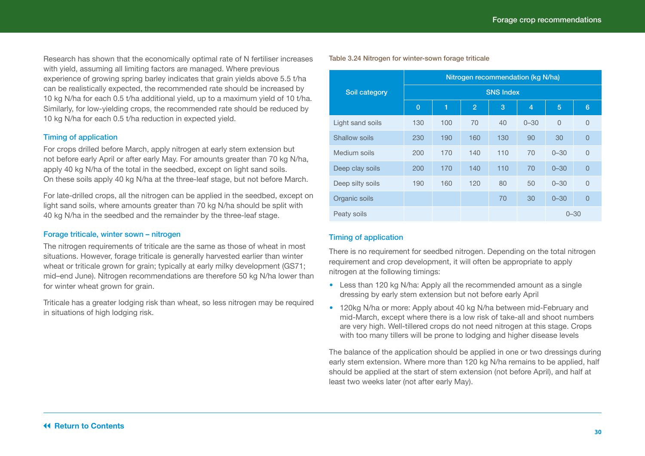Research has shown that the economically optimal rate of N fertiliser increases with yield, assuming all limiting factors are managed. Where previous experience of growing spring barley indicates that grain yields above 5.5 t/ha can be realistically expected, the recommended rate should be increased by 10 kg N/ha for each 0.5 t/ha additional yield, up to a maximum yield of 10 t/ha. Similarly, for low-yielding crops, the recommended rate should be reduced by 10 kg N/ha for each 0.5 t/ha reduction in expected yield.

#### Timing of application

For crops drilled before March, apply nitrogen at early stem extension but not before early April or after early May. For amounts greater than 70 kg N/ha, apply 40 kg N/ha of the total in the seedbed, except on light sand soils. On these soils apply 40 kg N/ha at the three-leaf stage, but not before March.

For late-drilled crops, all the nitrogen can be applied in the seedbed, except on light sand soils, where amounts greater than 70 kg N/ha should be split with 40 kg N/ha in the seedbed and the remainder by the three-leaf stage.

#### Forage triticale, winter sown – nitrogen

The nitrogen requirements of triticale are the same as those of wheat in most situations. However, forage triticale is generally harvested earlier than winter wheat or triticale grown for grain; typically at early milky development (GS71; mid–end June). Nitrogen recommendations are therefore 50 kg N/ha lower than for winter wheat grown for grain.

Triticale has a greater lodging risk than wheat, so less nitrogen may be required in situations of high lodging risk.

|  |  | Table 3.24 Nitrogen for winter-sown forage triticale |
|--|--|------------------------------------------------------|
|--|--|------------------------------------------------------|

|                  | Nitrogen recommendation (kg N/ha) |     |                |     |                |          |                 |  |  |  |
|------------------|-----------------------------------|-----|----------------|-----|----------------|----------|-----------------|--|--|--|
| Soil category    | <b>SNS Index</b>                  |     |                |     |                |          |                 |  |  |  |
|                  | $\overline{0}$                    | 1   | $\overline{2}$ | 3   | $\overline{4}$ | 5        | $6\phantom{1}6$ |  |  |  |
| Light sand soils | 130                               | 100 | 70             | 40  | $0 - 30$       | $\Omega$ | $\Omega$        |  |  |  |
| Shallow soils    | 230                               | 190 | 160            | 130 | 90             | 30       | $\overline{0}$  |  |  |  |
| Medium soils     | 200                               | 170 | 140            | 110 | 70             | $0 - 30$ | $\overline{0}$  |  |  |  |
| Deep clay soils  | 200                               | 170 | 140            | 110 | 70             | $0 - 30$ | $\overline{0}$  |  |  |  |
| Deep silty soils | 190                               | 160 | 120            | 80  | 50             | $0 - 30$ | $\overline{0}$  |  |  |  |
| Organic soils    |                                   |     |                | 70  | 30             | $0 - 30$ | $\overline{0}$  |  |  |  |
| Peaty soils      |                                   |     |                |     |                | $0 - 30$ |                 |  |  |  |

#### Timing of application

There is no requirement for seedbed nitrogen. Depending on the total nitrogen requirement and crop development, it will often be appropriate to apply nitrogen at the following timings:

- Less than 120 kg N/ha: Apply all the recommended amount as a single dressing by early stem extension but not before early April
- **•**  120kg N/ha or more: Apply about 40 kg N/ha between mid-February and mid-March, except where there is a low risk of take-all and shoot numbers are very high. Well-tillered crops do not need nitrogen at this stage. Crops with too many tillers will be prone to lodging and higher disease levels

The balance of the application should be applied in one or two dressings during early stem extension. Where more than 120 kg N/ha remains to be applied, half should be applied at the start of stem extension (not before April), and half at least two weeks later (not after early May).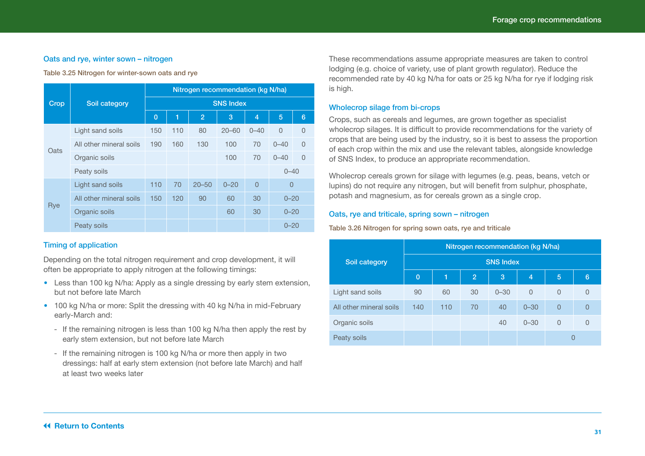#### Oats and rye, winter sown – nitrogen

Table 3.25 Nitrogen for winter-sown oats and rye

|      |                         |                | Nitrogen recommendation (kg N/ha) |                |           |                |          |                |  |  |  |  |
|------|-------------------------|----------------|-----------------------------------|----------------|-----------|----------------|----------|----------------|--|--|--|--|
| Crop | Soil category           |                | <b>SNS Index</b>                  |                |           |                |          |                |  |  |  |  |
|      |                         | $\overline{0}$ | 1                                 | $\overline{2}$ | 3         | 4              | 5        | 6              |  |  |  |  |
|      | Light sand soils        | 150            | 110                               | 80             | $20 - 60$ | $0 - 40$       | $\Omega$ | $\overline{0}$ |  |  |  |  |
| Oats | All other mineral soils | 190            | 160                               | 130            | 100       | 70             | $0 - 40$ | $\Omega$       |  |  |  |  |
|      | Organic soils           |                |                                   |                | 100       | 70             | $0 - 40$ | $\Omega$       |  |  |  |  |
|      | Peaty soils             |                |                                   |                |           |                | $0 - 40$ |                |  |  |  |  |
|      | Light sand soils        | 110            | 70                                | $20 - 50$      | $0 - 20$  | $\overline{0}$ | $\Omega$ |                |  |  |  |  |
|      | All other mineral soils | 150            | 120                               | 90             | 60        | 30             | $0 - 20$ |                |  |  |  |  |
| Rye  | Organic soils           |                |                                   |                | 60        | 30             | $0 - 20$ |                |  |  |  |  |
|      | Peaty soils             |                |                                   |                |           |                | $0 - 20$ |                |  |  |  |  |

#### Timing of application

Depending on the total nitrogen requirement and crop development, it will often be appropriate to apply nitrogen at the following timings:

- **•**  Less than 100 kg N/ha: Apply as a single dressing by early stem extension, but not before late March
- **•**  100 kg N/ha or more: Split the dressing with 40 kg N/ha in mid-February early-March and:
	- If the remaining nitrogen is less than 100 kg N/ha then apply the rest by early stem extension, but not before late March
	- If the remaining nitrogen is 100 kg N/ha or more then apply in two dressings: half at early stem extension (not before late March) and half at least two weeks later

These recommendations assume appropriate measures are taken to control lodging (e.g. choice of variety, use of plant growth regulator). Reduce the recommended rate by 40 kg N/ha for oats or 25 kg N/ha for rye if lodging risk is high.

#### Wholecrop silage from bi-crops

Crops, such as cereals and legumes, are grown together as specialist wholecrop silages. It is difficult to provide recommendations for the variety of crops that are being used by the industry, so it is best to assess the proportion of each crop within the mix and use the relevant tables, alongside knowledge of SNS Index, to produce an appropriate recommendation.

Wholecrop cereals grown for silage with legumes (e.g. peas, beans, vetch or lupins) do not require any nitrogen, but will benefit from sulphur, phosphate, potash and magnesium, as for cereals grown as a single crop.

#### Oats, rye and triticale, spring sown – nitrogen

#### Table 3.26 Nitrogen for spring sown oats, rye and triticale

|                         | Nitrogen recommendation (kg N/ha) |     |                |          |                |          |          |  |  |  |  |
|-------------------------|-----------------------------------|-----|----------------|----------|----------------|----------|----------|--|--|--|--|
| Soil category           | <b>SNS Index</b>                  |     |                |          |                |          |          |  |  |  |  |
|                         | $\overline{0}$                    | ſ.  | $\overline{2}$ | 3        | $\overline{4}$ | 5        | 6        |  |  |  |  |
| Light sand soils        | 90                                | 60  | 30             | $0 - 30$ | $\Omega$       | 0        | O        |  |  |  |  |
| All other mineral soils | 140                               | 110 | 70             | 40       | $0 - 30$       | $\Omega$ | $\Omega$ |  |  |  |  |
| Organic soils           |                                   |     |                | 40       | $0 - 30$       | $\Omega$ |          |  |  |  |  |
| Peaty soils             |                                   |     |                |          |                |          |          |  |  |  |  |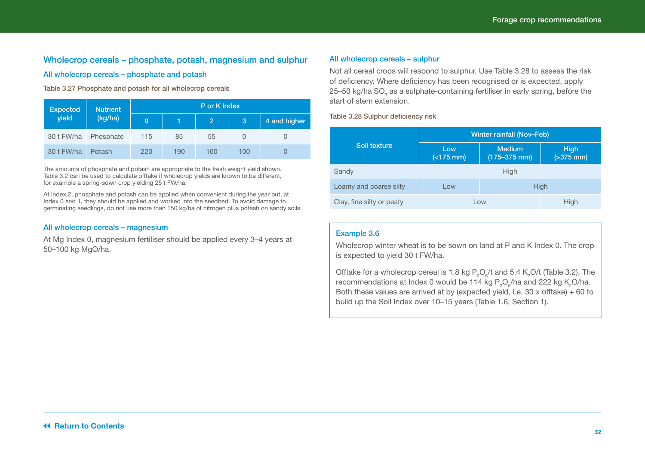### <span id="page-31-0"></span>Wholecrop cereals – phosphate, potash, magnesium and sulphur

#### All wholecrop cereals – phosphate and potash

#### Table 3.27 Phosphate and potash for all wholecrop cereals

| <b>Expected</b> | <b>Nutrient</b> | P or K Index   |     |                |     |              |  |  |
|-----------------|-----------------|----------------|-----|----------------|-----|--------------|--|--|
| yield           | (kg/ha)         | $\overline{0}$ |     | $\overline{2}$ | 13, | 4 and higher |  |  |
| 30 t FW/ha      | Phosphate       | 115            | 85  | 55             |     |              |  |  |
| 30 t FW/ha      | Potash          | 220            | 190 | 160            | 100 |              |  |  |

The amounts of phosphate and potash are appropriate to the fresh weight yield shown. Table 3.2 can be used to calculate offtake if wholecrop yields are known to be different, for example a spring-sown crop yielding 25 t FW/ha.

At Index 2, phosphate and potash can be applied when convenient during the year but, at Index 0 and 1, they should be applied and worked into the seedbed. To avoid damage to germinating seedlings, do not use more than 150 kg/ha of nitrogen plus potash on sandy soils.

#### All wholecrop cereals – magnesium

At Mg Index 0, magnesium fertiliser should be applied every 3–4 years at 50–100 kg MgO/ha.

#### All wholecrop cereals – sulphur

Not all cereal crops will respond to sulphur. Use Table 3.28 to assess the risk of deficiency. Where deficiency has been recognised or is expected, apply 25–50 kg/ha SO $_3$  as a sulphate-containing fertiliser in early spring, before the start of stem extension.

Table 3.28 Sulphur deficiency risk

|                           | <b>Winter rainfall (Nov-Feb)</b> |                              |  |  |  |  |  |
|---------------------------|----------------------------------|------------------------------|--|--|--|--|--|
| Soil texture              | Low<br>$(<175$ mm)               | <b>High</b><br>$( > 375$ mm) |  |  |  |  |  |
| Sandy                     |                                  | High                         |  |  |  |  |  |
| Loamy and coarse silty    | High<br>Low                      |                              |  |  |  |  |  |
| Clay, fine silty or peaty | High<br>Low                      |                              |  |  |  |  |  |

#### Example 3.6

Wholecrop winter wheat is to be sown on land at P and K Index 0. The crop is expected to yield 30 t FW/ha.

Offtake for a wholecrop cereal is 1.8 kg  $\mathsf{P}_\mathsf{2}\mathsf{O}_\mathsf{s}/\mathsf{t}$  and 5.4 K $_\mathsf{2}$ O/t (Table 3.2). The recommendations at Index 0 would be 114 kg  $\mathsf{P}_2\mathsf{O}_5$ /ha and 222 kg K $_2$ O/ha. Both these values are arrived at by (expected yield, i.e. 30 x offtake)  $+$  60 to build up the Soil Index over 10–15 years (Table 1.6, Section 1).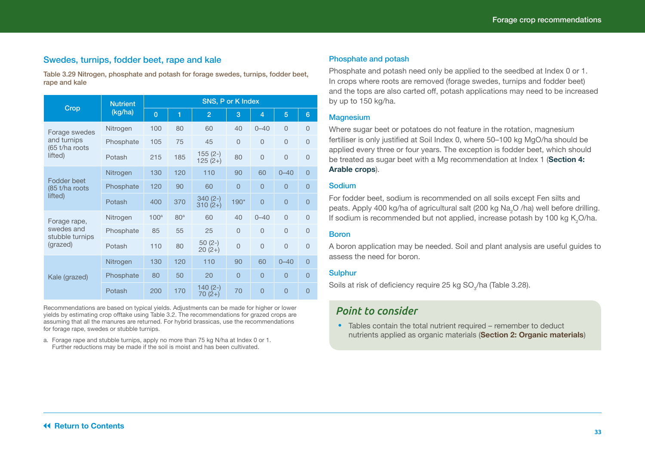#### <span id="page-32-0"></span>Swedes, turnips, fodder beet, rape and kale

Table 3.29 Nitrogen, phosphate and potash for forage swedes, turnips, fodder beet, rape and kale

|                               | SNS, P or K Index |                  |                 |                        |                |                |              |                |  |  |
|-------------------------------|-------------------|------------------|-----------------|------------------------|----------------|----------------|--------------|----------------|--|--|
| Crop                          | (kg/ha)           | $\overline{0}$   | 1               | $\overline{2}$         | 3              | $\overline{4}$ | 5            | $6\phantom{1}$ |  |  |
| Forage swedes                 | Nitrogen          | 100              | 80              | 60                     | 40             | $0 - 40$       | $\Omega$     | $\Omega$       |  |  |
| and turnips<br>(65 t/ha roots | Phosphate         | 105              | 75              | 45                     | $\Omega$       | $\overline{0}$ | $\Omega$     | $\overline{0}$ |  |  |
| lifted)                       | Potash            | 215              | 185             | $155(2-)$<br>$125(2+)$ | 80             | $\Omega$       | $\Omega$     | $\Omega$       |  |  |
|                               | Nitrogen          | 130              | 120             | 110                    | 90             | 60             | $0 - 40$     | $\overline{0}$ |  |  |
| Fodder beet<br>(85 t/ha roots | Phosphate         | 120              | 90              | 60                     | $\Omega$       | $\overline{0}$ | $\mathbf{0}$ | $\overline{0}$ |  |  |
| lifted)                       | Potash            | 400              | 370             | $340(2-)$<br>$310(2+)$ | 190*           | $\overline{0}$ | $\Omega$     | $\overline{0}$ |  |  |
| Forage rape,                  | Nitrogen          | 100 <sup>a</sup> | 80 <sup>a</sup> | 60                     | 40             | $0 - 40$       | $\Omega$     | $\Omega$       |  |  |
| swedes and<br>stubble turnips | Phosphate         | 85               | 55              | 25                     | $\Omega$       | $\Omega$       | $\Omega$     | $\overline{0}$ |  |  |
| (grazed)                      | Potash            | 110              | 80              | $50(2-)$<br>$20(2+)$   | $\overline{0}$ | $\Omega$       | $\Omega$     | 0              |  |  |
|                               | Nitrogen          | 130              | 120             | 110                    | 90             | 60             | $0 - 40$     | $\overline{0}$ |  |  |
| Kale (grazed)                 | Phosphate         | 80               | 50              | 20                     | $\Omega$       | $\Omega$       | $\Omega$     | $\overline{0}$ |  |  |
|                               | Potash            | 200              | 170             | $140(2-)$<br>70 (2+)   | 70             | $\overline{0}$ | $\Omega$     | $\overline{0}$ |  |  |

Recommendations are based on typical yields. Adjustments can be made for higher or lower yields by estimating crop offtake using Table 3.2. The recommendations for grazed crops are assuming that all the manures are returned. For hybrid brassicas, use the recommendations for forage rape, swedes or stubble turnips.

a. Forage rape and stubble turnips, apply no more than 75 kg N/ha at Index 0 or 1. Further reductions may be made if the soil is moist and has been cultivated.

#### Phosphate and potash

Phosphate and potash need only be applied to the seedbed at Index 0 or 1. In crops where roots are removed (forage swedes, turnips and fodder beet) and the tops are also carted off, potash applications may need to be increased by up to 150 kg/ha.

#### **Magnesium**

Where sugar beet or potatoes do not feature in the rotation, magnesium fertiliser is only justified at Soil Index 0, where 50–100 kg MgO/ha should be applied every three or four years. The exception is fodder beet, which should be treated as sugar beet with a Mg recommendation at Index 1 (**Section 4: Arable crops**).

#### **Sodium**

For fodder beet, sodium is recommended on all soils except Fen silts and peats. Apply 400 kg/ha of agricultural salt (200 kg Na<sub>2</sub>O /ha) well before drilling. If sodium is recommended but not applied, increase potash by 100 kg K<sub>2</sub>O/ha.

#### Boron

A boron application may be needed. Soil and plant analysis are useful guides to assess the need for boron.

#### **Sulphur**

Soils at risk of deficiency require 25 kg SO $_3$ /ha (Table 3.28).

### *Point to consider*

• Tables contain the total nutrient required – remember to deduct nutrients applied as organic materials (**Section 2: Organic materials**)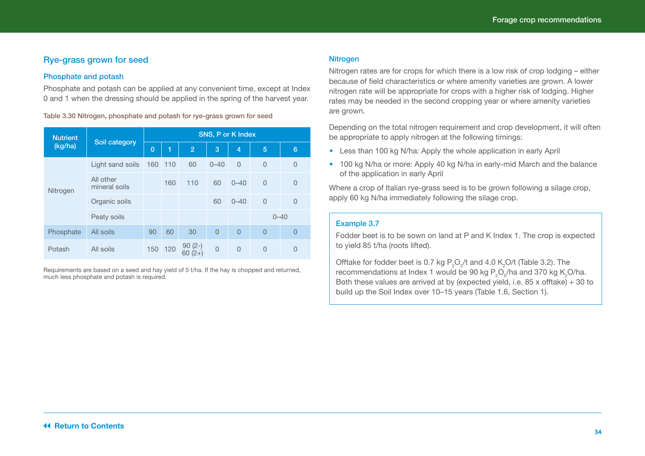#### <span id="page-33-0"></span>Rye-grass grown for seed

#### Phosphate and potash

Phosphate and potash can be applied at any convenient time, except at Index 0 and 1 when the dressing should be applied in the spring of the harvest year.

Table 3.30 Nitrogen, phosphate and potash for rye-grass grown for seed

| <b>Nutrient</b> | Soil category              | <b>SNS, P or K Index</b> |     |                      |                |                |                |                |  |
|-----------------|----------------------------|--------------------------|-----|----------------------|----------------|----------------|----------------|----------------|--|
| (kg/ha)         |                            |                          | ſ1  | $\overline{2}$       | 3              | $\overline{4}$ | 5              | 6              |  |
|                 | Light sand soils           | 160                      | 110 | 60                   | $0 - 40$       | $\overline{0}$ | $\overline{0}$ | $\overline{0}$ |  |
| Nitrogen        | All other<br>mineral soils |                          | 160 | 110                  | 60             | $0 - 40$       | $\overline{0}$ | 0              |  |
|                 | Organic soils              |                          |     |                      | 60             | $0 - 40$       | $\overline{0}$ | $\overline{0}$ |  |
|                 | Peaty soils                |                          |     |                      |                |                | $0 - 40$       |                |  |
| Phosphate       | All soils                  | 90                       | 60  | 30                   | $\overline{0}$ | $\overline{0}$ | $\overline{0}$ | $\overline{0}$ |  |
| Potash          | All soils                  | 150                      | 120 | $90(2-)$<br>$60(2+)$ | $\overline{0}$ | $\overline{0}$ | $\overline{0}$ | 0              |  |

Requirements are based on a seed and hay yield of 5 t/ha. If the hay is chopped and returned, much less phosphate and potash is required.

#### Nitrogen

Nitrogen rates are for crops for which there is a low risk of crop lodging – either because of field characteristics or where amenity varieties are grown. A lower nitrogen rate will be appropriate for crops with a higher risk of lodging. Higher rates may be needed in the second cropping year or where amenity varieties are grown.

Depending on the total nitrogen requirement and crop development, it will often be appropriate to apply nitrogen at the following timings:

- Less than 100 kg N/ha: Apply the whole application in early April
- **•**  100 kg N/ha or more: Apply 40 kg N/ha in early-mid March and the balance of the application in early April

Where a crop of Italian rye-grass seed is to be grown following a silage crop, apply 60 kg N/ha immediately following the silage crop.

#### Example 3.7

Fodder beet is to be sown on land at P and K Index 1. The crop is expected to yield 85 t/ha (roots lifted).

Offtake for fodder beet is 0.7 kg  $P_2O_5/t$  and 4.0 K<sub>2</sub>O/t (Table 3.2). The recommendations at Index 1 would be 90 kg  $P_{2}O_{5}$ /ha and 370 kg K $_{2}$ O/ha. Both these values are arrived at by (expected yield, i.e. 85 x offtake) + 30 to build up the Soil Index over 10–15 years (Table 1.6, Section 1).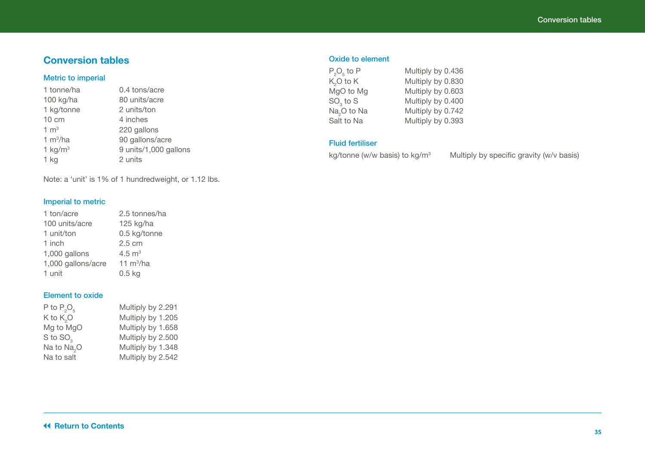### <span id="page-34-0"></span>**Conversion tables**

#### Metric to imperial

| 1 tonne/ha      | 0.4 tons/acre         |
|-----------------|-----------------------|
| 100 kg/ha       | 80 units/acre         |
| 1 kg/tonne      | 2 units/ton           |
| $10 \text{ cm}$ | 4 inches              |
| $1 \text{ m}^3$ | 220 gallons           |
| 1 $m^3/ha$      | 90 gallons/acre       |
| 1 $kg/m3$       | 9 units/1,000 gallons |
| 1 kg            | 2 units               |
|                 |                       |

Note: a 'unit' is 1% of 1 hundredweight, or 1.12 lbs.

#### Imperial to metric

| 2.5 tonnes/ha    |
|------------------|
| 125 kg/ha        |
| 0.5 kg/tonne     |
| $2.5 \text{ cm}$ |
| 4.5 $m3$         |
| 11 $m^3/ha$      |
| $0.5$ kg         |
|                  |

#### Element to oxide

| P to $P_2O_5$           | Multiply by 2.291 |
|-------------------------|-------------------|
| K to $K2O$              | Multiply by 1.205 |
| Mg to MgO               | Multiply by 1.658 |
| S to SO <sub>2</sub>    | Multiply by 2.500 |
| Na to Na <sub>2</sub> O | Multiply by 1.348 |
| Na to salt              | Multiply by 2.542 |

#### Oxide to element

| $P_2O_5$ to P           | Multiply by 0.436 |
|-------------------------|-------------------|
| $K2O$ to $K$            | Multiply by 0.830 |
| MgO to Mg               | Multiply by 0.603 |
| $SO3$ to S              | Multiply by 0.400 |
| Na <sub>2</sub> O to Na | Multiply by 0.742 |
| Salt to Na              | Multiply by 0.393 |

#### Fluid fertiliser

kg/tonne (w/w basis) to kg/m<sup>3</sup> Multiply by specific gravity (w/v basis)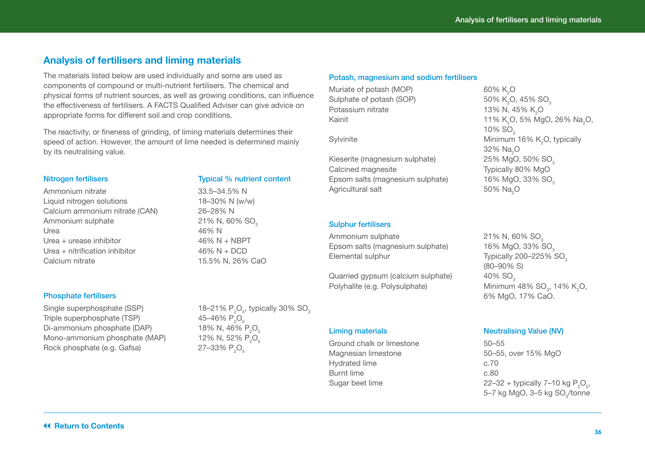### <span id="page-35-0"></span>**Analysis of fertilisers and liming materials**

The materials listed below are used individually and some are used as components of compound or multi-nutrient fertilisers. The chemical and physical forms of nutrient sources, as well as growing conditions, can influence the effectiveness of fertilisers. A FACTS Qualified Adviser can give advice on appropriate forms for different soil and crop conditions.

The reactivity, or fineness of grinding, of liming materials determines their speed of action. However, the amount of lime needed is determined mainly by its neutralising value.

#### Nitrogen fertilisers Typical % nutrient content

Ammonium nitrate 33.5–34.5% N Liquid nitrogen solutions 18–30% N (w/w) Calcium ammonium nitrate (CAN) 26–28% N Ammonium sulphate  $1$  and  $21\%$  N, 60% SO<sub>3</sub><br>16% N Urea 46% N Urea + urease inhibitor  $46\% N + NBPT$ Urea + nitrification inhibitor  $46\% N + DCD$ Calcium nitrate 15.5% N, 26% CaO

#### Phosphate fertilisers

Single superphosphate (SSP) Triple superphosphate (TSP) Di-ammonium phosphate (DAP) Mono-ammonium phosphate (MAP) Rock phosphate (e.g. Gafsa)

 $\mathrm{O}_5^{}$ , typically 30%  $\mathrm{SO}_3^{}$ 45-46%  $P_5O_5$ 18% N, 46% P<sub>2</sub>O<sub>5</sub> 12% N, 52% P.O.  $27 - 33% P<sub>0</sub>$ 

#### Potash, magnesium and sodium fertilisers

Muriate of potash (MOP) Sulphate of potash (SOP)<br>Potassium nitrate Potassium nitrate  $13\%$  N, 45% K<sub>2</sub>O

Kieserite (magnesium sulphate) 25% MgO, 50% SO<sub>3</sub><br>Calcined magnesite 7ypically 80% MgO Calcined magnesite Epsom salts (magnesium sulphate) 16% MgO, 33% SO<sub>3</sub> Agricultural salt

#### Sulphur fertilisers

Ammonium sulphate 21% N, 60%  $SO<sub>3</sub>$ <br>Epsom salts (magnesium sulphate) 16% MgO, 33% SO Epsom salts (magnesium sulphate)<br>Elemental sulphur

Quarried gypsum (calcium sulphate) 40% SO<sub>3</sub> Polyhalite (e.g. Polysulphate)

Ground chalk or limestone 50–55 Magnesian limestone 50–55, over 15% MgO Hydrated lime c.70 Burnt lime c.80

## 60% K<sub>0</sub>O 50% K.O. 45% SO. Kainit  $11\%~K_{2}$ O, 5% MgO, 26% Na<sub>2</sub>O,  $10\%$  SO $_{\circ}$ Sylvinite  $M$ inimum 16% K<sub>2</sub>O, typically 32% Na<sub>2</sub>O 50% Na<sub>.</sub>O

Typically 200–225% SO<sub>3</sub> (80–90% S) , 14% K<sub>2</sub>O, 6% MgO, 17% CaO.

#### Liming materials **Neutralising Value (NV)**

Sugar beet lime  $22-32 +$  typically 7–10 kg  $P_2O_5$ , 5–7 kg MgO, 3–5 kg SO<sub>3</sub>/tonne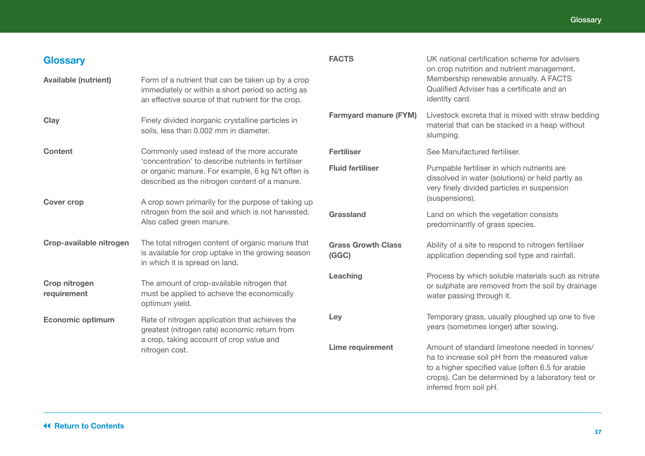<span id="page-36-0"></span>

| <b>Glossary</b>                                                                                      |                                                                                                                                                               | <b>FACTS</b>                       | UK national certification scheme for advisers<br>on crop nutrition and nutrient management.                                                                                                                |
|------------------------------------------------------------------------------------------------------|---------------------------------------------------------------------------------------------------------------------------------------------------------------|------------------------------------|------------------------------------------------------------------------------------------------------------------------------------------------------------------------------------------------------------|
| <b>Available (nutrient)</b>                                                                          | Form of a nutrient that can be taken up by a crop<br>immediately or within a short period so acting as<br>an effective source of that nutrient for the crop.  |                                    | Membership renewable annually. A FACTS<br>Qualified Adviser has a certificate and an<br>identity card.                                                                                                     |
| Clay                                                                                                 | Finely divided inorganic crystalline particles in<br>soils, less than 0.002 mm in diameter.                                                                   | <b>Farmyard manure (FYM)</b>       | Livestock excreta that is mixed with straw bedding<br>material that can be stacked in a heap without<br>slumping.                                                                                          |
| <b>Content</b>                                                                                       | Commonly used instead of the more accurate                                                                                                                    | <b>Fertiliser</b>                  | See Manufactured fertiliser.                                                                                                                                                                               |
|                                                                                                      | 'concentration' to describe nutrients in fertiliser<br>or organic manure. For example, 6 kg N/t often is<br>described as the nitrogen content of a manure.    | <b>Fluid fertiliser</b>            | Pumpable fertiliser in which nutrients are<br>dissolved in water (solutions) or held partly as<br>very finely divided particles in suspension                                                              |
| <b>Cover crop</b><br>nitrogen from the soil and which is not harvested.<br>Also called green manure. | A crop sown primarily for the purpose of taking up                                                                                                            |                                    | (suspensions).                                                                                                                                                                                             |
|                                                                                                      |                                                                                                                                                               | Grassland                          | Land on which the vegetation consists<br>predominantly of grass species.                                                                                                                                   |
| Crop-available nitrogen                                                                              | The total nitrogen content of organic manure that<br>is available for crop uptake in the growing season<br>in which it is spread on land.                     | <b>Grass Growth Class</b><br>(GGC) | Ability of a site to respond to nitrogen fertiliser<br>application depending soil type and rainfall.                                                                                                       |
| Crop nitrogen<br>requirement                                                                         | The amount of crop-available nitrogen that<br>must be applied to achieve the economically<br>optimum yield.                                                   | Leaching                           | Process by which soluble materials such as nitrate<br>or sulphate are removed from the soil by drainage<br>water passing through it.                                                                       |
| <b>Economic optimum</b>                                                                              | Rate of nitrogen application that achieves the<br>greatest (nitrogen rate) economic return from<br>a crop, taking account of crop value and<br>nitrogen cost. | Ley                                | Temporary grass, usually ploughed up one to five<br>years (sometimes longer) after sowing.                                                                                                                 |
|                                                                                                      |                                                                                                                                                               | Lime requirement                   | Amount of standard limestone needed in tonnes/<br>ha to increase soil pH from the measured value<br>to a higher specified value (often 6.5 for arable<br>crops). Can be determined by a laboratory test or |

inferred from soil pH.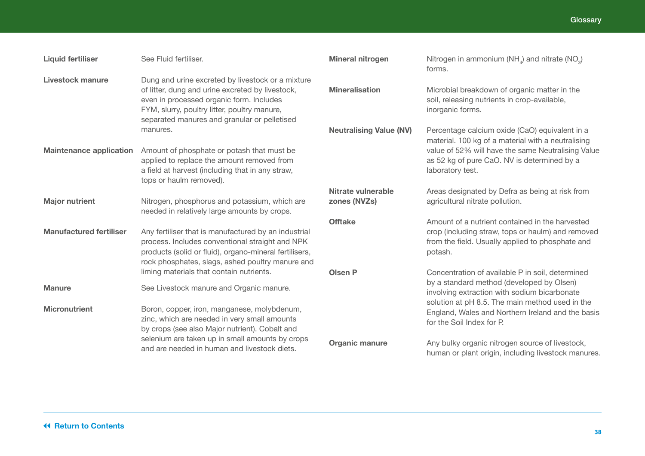| <b>Liquid fertiliser</b>       | See Fluid fertiliser.                                                                                                                                                                                                                             | <b>Mineral nitrogen</b>            | Nitrogen in ammonium (NH <sub>4</sub> ) and nitrate (NO <sub>3</sub> )<br>forms.                                                                                                                                              |
|--------------------------------|---------------------------------------------------------------------------------------------------------------------------------------------------------------------------------------------------------------------------------------------------|------------------------------------|-------------------------------------------------------------------------------------------------------------------------------------------------------------------------------------------------------------------------------|
| Livestock manure               | Dung and urine excreted by livestock or a mixture<br>of litter, dung and urine excreted by livestock,<br>even in processed organic form. Includes<br>FYM, slurry, poultry litter, poultry manure,<br>separated manures and granular or pelletised | <b>Mineralisation</b>              | Microbial breakdown of organic matter in the<br>soil, releasing nutrients in crop-available,<br>inorganic forms.                                                                                                              |
| <b>Maintenance application</b> | manures.<br>Amount of phosphate or potash that must be<br>applied to replace the amount removed from<br>a field at harvest (including that in any straw,<br>tops or haulm removed).                                                               | <b>Neutralising Value (NV)</b>     | Percentage calcium oxide (CaO) equivalent in a<br>material. 100 kg of a material with a neutralising<br>value of 52% will have the same Neutralising Value<br>as 52 kg of pure CaO. NV is determined by a<br>laboratory test. |
| <b>Major nutrient</b>          | Nitrogen, phosphorus and potassium, which are<br>needed in relatively large amounts by crops.                                                                                                                                                     | Nitrate vulnerable<br>zones (NVZs) | Areas designated by Defra as being at risk from<br>agricultural nitrate pollution.                                                                                                                                            |
| <b>Manufactured fertiliser</b> | Any fertiliser that is manufactured by an industrial<br>process. Includes conventional straight and NPK<br>products (solid or fluid), organo-mineral fertilisers,<br>rock phosphates, slags, ashed poultry manure and                             | <b>Offtake</b>                     | Amount of a nutrient contained in the harvested<br>crop (including straw, tops or haulm) and removed<br>from the field. Usually applied to phosphate and<br>potash.                                                           |
| <b>Manure</b>                  | liming materials that contain nutrients.<br>See Livestock manure and Organic manure.                                                                                                                                                              | <b>Olsen P</b>                     | Concentration of available P in soil, determined<br>by a standard method (developed by Olsen)                                                                                                                                 |
| <b>Micronutrient</b>           | Boron, copper, iron, manganese, molybdenum,<br>zinc, which are needed in very small amounts<br>by crops (see also Major nutrient). Cobalt and                                                                                                     |                                    | involving extraction with sodium bicarbonate<br>solution at pH 8.5. The main method used in the<br>England, Wales and Northern Ireland and the basis<br>for the Soil Index for P.                                             |
|                                | selenium are taken up in small amounts by crops<br>and are needed in human and livestock diets.                                                                                                                                                   | <b>Organic manure</b>              | Any bulky organic nitrogen source of livestock,<br>human or plant origin, including livestock manures.                                                                                                                        |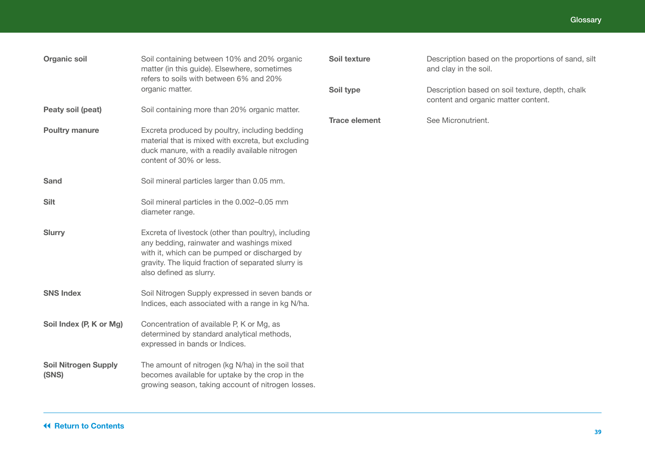| <b>Organic soil</b>                  | Soil containing between 10% and 20% organic<br>matter (in this guide). Elsewhere, sometimes<br>refers to soils with between 6% and 20%<br>organic matter.                                                                            |
|--------------------------------------|--------------------------------------------------------------------------------------------------------------------------------------------------------------------------------------------------------------------------------------|
| Peaty soil (peat)                    | Soil containing more than 20% organic matter.                                                                                                                                                                                        |
| <b>Poultry manure</b>                | Excreta produced by poultry, including bedding<br>material that is mixed with excreta, but excluding<br>duck manure, with a readily available nitrogen<br>content of 30% or less.                                                    |
| <b>Sand</b>                          | Soil mineral particles larger than 0.05 mm.                                                                                                                                                                                          |
| <b>Silt</b>                          | Soil mineral particles in the 0.002-0.05 mm<br>diameter range.                                                                                                                                                                       |
| <b>Slurry</b>                        | Excreta of livestock (other than poultry), including<br>any bedding, rainwater and washings mixed<br>with it, which can be pumped or discharged by<br>gravity. The liquid fraction of separated slurry is<br>also defined as slurry. |
| <b>SNS Index</b>                     | Soil Nitrogen Supply expressed in seven bands or<br>Indices, each associated with a range in kg N/ha.                                                                                                                                |
| Soil Index (P, K or Mg)              | Concentration of available P, K or Mg, as<br>determined by standard analytical methods,<br>expressed in bands or Indices.                                                                                                            |
| <b>Soil Nitrogen Supply</b><br>(SNS) | The amount of nitrogen (kg N/ha) in the soil that<br>becomes available for uptake by the crop in the<br>growing season, taking account of nitrogen losses.                                                                           |

| Soil texture         | Description based on the proportions of sand, silt<br>and clay in the soil.            |
|----------------------|----------------------------------------------------------------------------------------|
| Soil type            | Description based on soil texture, depth, chalk<br>content and organic matter content. |
| <b>Trace element</b> | See Micronutrient.                                                                     |